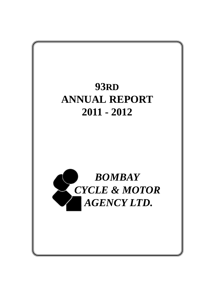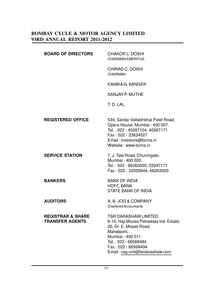| <b>BOARD OF DIRECTORS</b>                              | <b>CHAKOR L. DOSHI</b><br><b>CHAIRMAN EMERITUS</b>                                                                                                                                                                    |
|--------------------------------------------------------|-----------------------------------------------------------------------------------------------------------------------------------------------------------------------------------------------------------------------|
|                                                        | CHIRAG C. DOSHI<br><b>CHAIRMAN</b>                                                                                                                                                                                    |
|                                                        | KANIKA G. SANGER                                                                                                                                                                                                      |
|                                                        | <b>SANJAY P. MUTHE</b>                                                                                                                                                                                                |
|                                                        | T. D. LAL                                                                                                                                                                                                             |
| <b>REGISTERED OFFICE</b>                               | 534, Sardar Vallabhbhai Patel Road,<br>Opera House, Mumbai - 400 007.<br>Tel.: 022 - 40287104, 40287171<br>Fax: 022 - 23634527<br>Email: investors@bcma.in<br>Website: www.bcma.in                                    |
| <b>SERVICE STATION</b>                                 | 7, J. Tata Road, Churchgate,<br>Mumbai - 400 020.<br>Tel.: 022 - 66263000, 22047171<br>Fax: 022 - 22026644, 66263020                                                                                                  |
| <b>BANKERS</b>                                         | <b>BANK OF INDIA</b><br><b>HDFC BANK</b><br><b>STATE BANK OF INDIA</b>                                                                                                                                                |
| <b>AUDITORS</b>                                        | A. B. JOG & COMPANY<br><b>Chartered Accountants</b>                                                                                                                                                                   |
| <b>REGISTRAR &amp; SHARE</b><br><b>TRANSFER AGENTS</b> | <b>TSR DARASHAW LIMITED</b><br>6-10, Haji Moosa Patrawala Ind. Estate,<br>20, Dr. E. Moses Road,<br>Mahalaxmi,<br>Mumbai - 400 011.<br>Tel.: 022 - 66568484<br>Fax: 022 - 66568494<br>Email: csg-unit@tsrdarashaw.com |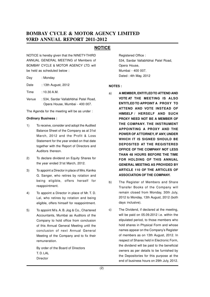### **NOTICE**

NOTICE is hereby given that the NINETY-THIRD ANNUAL GENERAL MEETING of Members of BOMBAY CYCLE & MOTOR AGENCY LTD. will be held as scheduled below :

| Day | : Monday |
|-----|----------|
|     |          |

Date : 13th August, 2012

- Time : 10.30 A.M.
- Venue : 534, Sardar Vallabhbhai Patel Road, Opera House, Mumbai - 400 007.

The Agenda for the meeting will be as under :

#### **Ordinary Business :**

- 1) To receive, consider and adopt the Audited Balance Sheet of the Company as at 31st March, 2012 and the Profit & Loss Statement for the year ended on that date together with the Report of Directors and Auditors thereon.
- 2) To declare dividend on Equity Shares for the year ended 31st March, 2012.
- 3) To appoint a Director in place of Mrs. Kanika G. Sanger, who retires by rotation and being eligible, offers herself for reappointment.
- 4) To appoint a Director in place of Mr. T. D. Lal, who retires by rotation and being eligible, offers himself for reappointment.
- 5) To appoint M/s. A. B. Jog & Co., Chartered Accountants, Mumbai as Auditors of the Company to hold office from conclusion of this Annual General Meeting until the conclusion of next Annual General Meeting of the Company and to fix their remuneration.

By order of the Board of Directors T. D. LAL Director

Registered Office : 534, Sardar Vallabhbhai Patel Road, Opera House, Mumbai - 400 007. Dated : 4th May, 2012

#### **NOTES :**

- a) **A MEMBER, ENTITLED TO ATTEND AND VOTE AT THE MEETING IS ALSO ENTITLED TO APPOINT A PROXY TO ATTEND AND VOTE INSTEAD OF HIMSELF / HERSELF AND SUCH PROXY NEED NOT BE A MEMBER OF THE COMPANY. THE INSTRUMENT APPOINTING A PROXY AND THE POWER OF ATTORNEY, IF ANY, UNDER WHICH IT IS SIGNED SHOULD BE DEPOSITED AT THE REGISTERED OFFICE OF THE COMPANY NOT LESS THAN 48 HOURS BEFORE THE TIME FOR HOLDING OF THIS ANNUAL GENERAL MEETING AS PROVIDED BY ARTICLE 110 OF THE ARTICLES OF ASSOCIATION OF THE COMPANY.**
- b) The Register of Members and Share Transfer Books of the Company will remain closed from Monday, 30th July, 2012 to Monday, 13th August, 2012 (both days inclusive).
- c) The Dividend, if declared at the meeting, will be paid on 05.09.2012 i.e. within the stipulated period, to those members who hold shares in Physical Form and whose names appear on the Company's Register of members as on 13th August, 2012. In respect of Shares held in Electronic Form, the dividend will be paid to the beneficial owners as per details to be furnished by the Depositories for this purpose at the end of business hours on 29th July, 2012.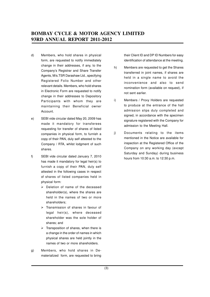- d) Members, who hold shares in physical form, are requested to notify immediately change in their addresses, if any, to the Company's Registrar and Share Transfer Agents, M/s.TSR Darashaw Ltd., specifying Registered Folio Number and other relevant details. Members, who hold shares in Electronic Form are requested to notify change in their addresses to Depository Participants with whom they are maintaining their Beneficial owner Account.
- e) SEBI vide circular dated May 20, 2009 has made it mandatory for transferees requesting for transfer of shares of listed companies in physical form, to furnish a copy of their PAN, duly self attested to the Company / RTA, whilst lodgment of such shares.
- f) SEBI vide circular dated January 7, 2010 has made it mandatory for legal heir(s) to furnish a copy of their PAN, duly self attested in the following cases in respect of shares of listed companies held in physical form:
	- $\triangleright$  Deletion of name of the deceased shareholder(s), where the shares are held in the names of two or more shareholders;
	- $\triangleright$  Transmission of shares in favour of legal heir(s), where deceased shareholder was the sole holder of shares; and
	- $\triangleright$  Transposition of shares, when there is a change in the order of names in which physical shares are held jointly in the names of two or more shareholders.
- g) Members, who hold shares in Dematerialized form, are requested to bring

their Client ID and DP ID Numbers for easy identification of attendance at the meeting.

- h) Members are requested to get the Shares transferred in joint names, if shares are held in a single name to avoid the inconvenience and also to send nomination form (available on request), if not sent earlier.
- i) Members / Proxy Holders are requested to produce at the entrance of the hall admission slips duly completed and signed, in accordance with the specimen signature registered with the Company for admission to the Meeting Hall.
- j) Documents relating to the items mentioned in the Notice are available for inspection at the Registered Office of the Company on any working day (except Saturday and Sunday) during business hours from 10:30 a.m. to 12:30 p.m.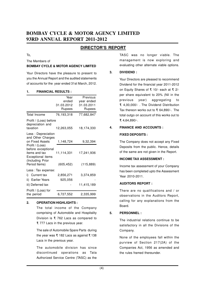### **DIRECTOR'S REPORT**

#### To,

The Members of

#### **BOMBAY CYCLE & MOTOR AGENCY LIMITED**

Your Directors have the pleasure to present to you the Annual Report and the audited statements of accounts for the year ended 31st March, 2012.

#### **1. FINANCIAL RESULTS :**

|                                                            | Year       | Previous   |
|------------------------------------------------------------|------------|------------|
|                                                            | ended      | year ended |
|                                                            | 31.03.2012 | 31.03.2011 |
|                                                            | Rupees     | Rupees     |
| <b>Total Income</b>                                        | 76,193,318 | 77,682,847 |
| Profit / (Loss) before<br>depreciation and<br>taxation     |            |            |
|                                                            | 12,263,055 | 18,174,330 |
| Less: Depreciation<br>and Other Charges<br>on Fixed Assets |            |            |
| Profit / (Loss)                                            | 1,148,724  | 9,32,394   |
| before exceptional                                         |            |            |
| items and tax                                              | 11,114,331 | 17,241,936 |
| Exceptional items<br>(Including Prior                      |            |            |
| Period Items)                                              | (605, 452) | (115, 889) |
| Less : Tax expense:                                        |            |            |
| i) Current tax                                             | 2,856,271  | 3,374,859  |
| ii) Earlier Years                                          | 925,056    |            |
| iii) Deferred tax                                          |            | 11,415,189 |
| Profit / (Loss) for                                        |            |            |
| the period                                                 | 6,727,552  | 2,335,999  |

#### **2. OPERATION HIGHLIGHTS :**

The total income of the Company comprising of Automobile and Hospitality Division is  $\bar{\tau}$  762 Lacs as compared to F 777 Lacs in the previous year.

The sale of Automobile Spare Parts during the year was  $\bar{\tau}$  182 Lacs as against  $\bar{\tau}$  138 Lacs in the previous year.

The automobile division has since discontinued operations as Tata Authorized Service Centre (TASC) as the

TASC was no longer viable. The management is now exploring and evaluating other alternate viable options.

#### **3. DIVIDEND :**

Your Directors are pleased to recommend Dividend for the financial year 2011-2012 on Equity Shares of F 10/- each at F 2/ per share equivalent to 20% (Nil in the previous year) aggregating to F 4,00,000/- . The Dividend Distribution Tax thereon works out to ₹ 64,890/-. The total outgo on account of this works out to F 4,64,890/-.

#### **4. FINANCE AND ACCOUNTS :**

#### **FIXED DEPOSITS :**

The Company does not accept any Fixed Deposits from the public. Hence, details of the same are not given in the Report.

#### **INCOME TAX ASSESSMENT :**

Income tax assessment of your Company has been completed upto the Assessment Year 2010-2011.

#### **AUDITORS REPORT :**

There are no qualifications and / or observations in the Auditors Report, calling for any explanations from the Board.

#### **5. PERSONNEL :**

The industrial relations continue to be satisfactory in all the Divisions of the Company.

None of the employees fall within the purview of Section 217(2A) of the Companies Act, 1956 as amended and the rules framed thereunder.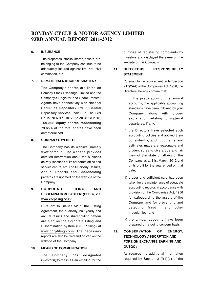#### **6. INSURANCE :**

The properties, stocks, stores, assets, etc. belonging to the Company continue to be adequately insured against fire, riot, civil commotion, etc.

#### **7. DEMATERIALIZATION OF SHARES :**

The Company's shares are listed on Bombay Stock Exchange Limited and the Company's Registrar and Share Transfer Agents have connectivity with National Securities Depository Ltd. & Central Depository Services (India) Ltd. The ISIN No. is INE691K01017. As on 31.03.2012, 159,302 equity shares representing 79.65% of the total shares have been dematerialized.

#### **8. COMPANY'S WEBSITE :**

The Company has its website, namely www.bcma.in. The website provides detailed information about the business activity, locations of its corporate office and service centre, etc. The Quarterly Results, Annual Reports and Shareholding patterns are updated on the website of the Company.

### **9. CORPORATE FILING AND DISSEMINATION SYSTEM (CFDS), viz. www.corpfiling.co.in :**

Pursuant to Clause 52 of the Listing Agreement, the quarterly, half yearly and annual results and shareholding pattern are filed on the Corporate Filing and Dissemination system (CORP filing) at www.corpfiling.co.in. The necessary reports are also be filed and posted on the website of the Company.

#### **10. MEANS OF COMMUNICATION :**

The Company has designated investors@bcma.in as an email id for the purpose of registering complaints by investors and displayed the same on the website of the Company.

#### **11. DIRECTORS' RESPONSIBILITY STATEMENT :**

Pursuant to the requirement under Section 217(2AA) of the Companies Act, 1956, the Directors' hereby confirm that:

- i) in the preparation of the annual accounts, the applicable accounting standards have been followed by your Company along with proper explanation relating to material departures, if any;
- ii) the Directors have selected such accounting policies and applied them consistently, and judgments and estimates made are reasonable and prudent so as to give a true and fair view of the state of affairs of the Company as at 31st March, 2012 and of its profit for the year ended on that date;
- iii) proper and sufficient care has been taken for the maintenance of adequate accounting records in accordance with provision of the Companies Act, 1956 for safeguarding the assets of the Company and for preventing and detecting fraud and other irregularities; and
- iv) the annual accounts have been prepared on a going concern basis.

### **12. CONSERVATION OF ENERGY, TECHNOLOGY ABSORPTION AND FOREIGN EXCHANGE EARNING AND OUTGO :**

As regards the additional information required by Section 217(1)(e) of the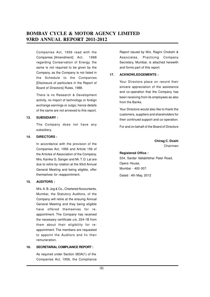Companies Act, 1956 read with the Companies [Amendment] Act, 1988 regarding Conservation of Energy, the same is not required to be given by the Company, as the Company is not listed in the Schedule to the Companies [Disclosure of particulars in the Report of Board of Directors] Rules, 1988.

There is no Research & Development activity, no import of technology or foreign exchange earnings or outgo; hence details of the same are not annexed to this report.

#### **13. SUBSIDIARY :**

The Company does not have any subsidiary.

#### **14. DIRECTORS :**

In accordance with the provision of the Companies Act, 1956 and Article 156 of the Articles of Association of the Company, Mrs. Kanika G. Sanger and Mr. T. D. Lal are due to retire by rotation at the 93rd Annual General Meeting and being eligible, offer themselves for reappointment.

#### **15. AUDITORS :**

M/s. A. B. Jog & Co., Chartered Accountants, Mumbai, the Statutory Auditors, of the Company will retire at the ensuing Annual General Meeting and they being eligible have offered themselves for reappointment. The Company has received the necessary certificate u/s. 224-1B from them about their eligibility for reappointment. The members are requested to appoint the Auditors and fix their remuneration.

#### **16. SECRETARIAL COMPLIANCE REPORT :**

As required under Section 383A(1) of the Companies Act, 1956, the Compliance Report issued by M/s. Ragini Chokshi & Associates, Practicing Company Secretary, Mumbai, is attached herewith and forms part of this report.

#### **17. ACKNOWLEDGEMENTS :**

Your Directors place on record their sincere appreciation of the assistance and co-operation that the Company has been receiving from its employees as also from the Banks.

Your Directors would also like to thank the customers, suppliers and shareholders for their continued support and co-operation.

For and on behalf of the Board of Directors

**Chirag C. Doshi** Chairman

#### **Registered Office :**

534, Sardar Vallabhbhai Patel Road, Opera House, Mumbai - 400 007.

Dated : 4th May, 2012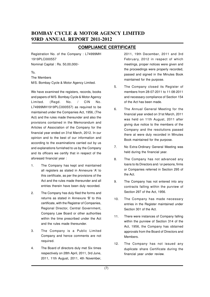### **COMPLIANCE CERTIFICATE**

Registration No. of the Company : L74999MH 1919PLC000557 Nominal Capital : Rs. 50,00,000/-

To,

The Members

M/S. Bombay Cycle & Motor Agency Limited.

We have examined the registers, records, books and papers of M/S. Bombay Cycle & Motor Agency Limited. (Regd. No. / CIN No. L74999MH1919PLC000557) as required to be maintained under the Companies Act, 1956, (The Act) and the rules made thereunder and also the provisions contained in the Memorandum and Articles of Association of the Company for the financial year ended on 31st March, 2012. In our opinion and to the best of our information and according to the examinations carried out by us and explanations furnished to us by the Company and its officers we certify that in respect of the aforesaid financial year :

- 1. The Company has kept and maintained all registers as stated in Annexure 'A' to this certificate, as per the provisions of the Act and the rules made thereunder and all entries therein have been duly recorded.
- 2. The Company has duly filed the forms and returns as stated in Annexure 'B' to this certificate, with the Registrar of Companies, Regional Director, Central Government, Company Law Board or other authorities within the time prescribed under the Act and the rules made thereunder.
- 3. The Company is a Public Limited Company and hence comments are not required.
- 4. The Board of directors duly met Six times respectively on 28th April, 2011, 3rd June, 2011, 11th August, 2011, 4th November,

2011, 19th December, 2011 and 3rd February, 2012 in respect of which meetings, proper notices were given and the proceedings were properly recorded, passed and signed in the Minutes Book maintained for the purpose.

- 5. The Company closed its Register of members from 28-07-2011 to 11-08-2011 and necessary compliance of Section 154 of the Act has been made.
- 6. The Annual General Meeting for the financial year ended on 31st March, 2011 was held on 11th August, 2011 after giving due notice to the members of the Company and the resolutions passed there at were duly recorded in Minutes Book maintained for the purpose.
- 7. No Extra-Ordinary General Meeting was held during the financial year.
- 8. The Company has not advanced any loans to its Directors and / or persons, firms or Companies referred in Section 295 of the Act.
- 9. The Company has not entered into any contracts falling within the purview of Section 297 of the Act, 1956.
- 10. The Company has made necessary entries in the Register maintained under Section 301 of the Act.
- 11. There were instances of Company falling within the purview of Section 314 of the Act, 1956, the Company has obtained approvals from the Board of Directors and Members.
- 12. The Company has not issued any duplicate share Certificate during the financial year under review.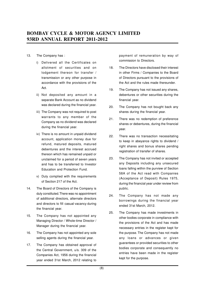#### 13. The Company has :

- i) Delivered all the Certificates on allotment of securities and on lodgement thereon for transfer / transmission or any other purpose in accordance with the provisions of the Act.
- ii) Not deposited any amount in a separate Bank Account as no dividend was declared during the financial year.
- iii) The Company was not required to post warrants to any member of the Company as no dividend was declared during the financial year.
- iv) There is no amount in unpaid dividend account, application money due for refund, matured deposits, matured debentures and the interest accrued thereon which has remained unpaid or unclaimed for a period of seven years and has to be transferred to Investor Education and Protection Fund.
- v) Duly complied with the requirements of Section 217 of the Act.
- 14. The Board of Directors of the Company is duly constituted.There was no appointment of additional directors, alternate directors and directors to fill casual vacancy during the financial year.
- 15. The Company has not appointed any Managing Director / Whole-time Director / Manager during the financial year.
- 16. The Company has not appointed any sole selling agents during the financial year.
- 17. The Company has obtained approval of the Central Government, u/s. 309 of the Companies Act, 1956 during the financial year ended 31st March, 2012 relating to

payment of remuneration by way of commission to Directors.

- 18. The Directors have disclosed their interest in other Firms / Companies to the Board of Directors pursuant to the provisions of the Act and the rules made thereunder.
- 19. The Company has not issued any shares, debentures or other securities during the financial year.
- 20. The Company has not bought back any shares during the financial year.
- 21. There was no redemption of preference shares or debentures, during the financial year.
- 22. There was no transaction necessitating to keep in abeyance rights to dividend / right shares and bonus shares pending registration of transfer of shares.
- 23. The Company has not invited or accepted any Deposits including any unsecured loans falling within the purview of Section 58A of the Act read with Companies (Acceptance of Deposit) Rules 1975, during the financial year under review from public.
- 24. The Company has not made any borrowings during the financial year ended 31st March, 2012.
- 25. The Company has made investments in other bodies corporate in compliance with the provisions of the Act and has made necessary entries in the register kept for the purpose. The Company has not made any loans or advances or given guarantees or provided securities to other bodies corporate and consequently no entries have been made in the register kept for the purpose.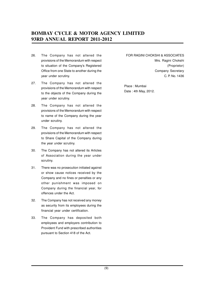- 26. The Company has not altered the provisions of the Memorandum with respect to situation of the Company's Registered Office from one State to another during the year under scrutiny.
- 27. The Company has not altered the provisions of the Memorandum with respect to the objects of the Company during the year under scrutiny.
- 28. The Company has not altered the provisions of the Memorandum with respect to name of the Company during the year under scrutiny.
- 29. The Company has not altered the provisions of the Memorandum with respect to Share Capital of the Company during the year under scrutiny.
- 30. The Company has not altered its Articles of Association during the year under scrutiny.
- 31. There was no prosecution initiated against or show cause notices received by the Company and no fines or penalties or any other punishment was imposed on Company during the financial year, for offences under the Act.
- 32. The Company has not received any money as security from its employees during the financial year under certification.
- 33. The Company has deposited both employees and employers contribution to Provident Fund with prescribed authorities pursuant to Section 418 of the Act.

FOR RAGINI CHOKSHI & ASSOCIATES Mrs. Ragini Chokshi (Proprietor) Company Secretary C. P. No. 1436

Place : Mumbai Date : 4th May, 2012.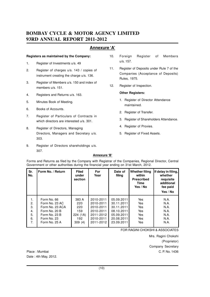### **Annexure 'A'**

#### **Registers as maintained by the Company:**

- 1. Register of Investments u/s. 49
- 2. Register of charges u/s. 143 / copies of instrument creating the charge u/s. 136.
- 3. Register of Members u/s. 150 and index of members u/s. 151.
- 4. Registers and Returns u/s. 163.
- 5. Minutes Book of Meeting.
- 6. Books of Accounts.
- 7. Register of Particulars of Contracts in which directors are interested u/s. 301.
- 8. Register of Directors, Managing Directors, Managers and Secretary u/s. 303.
- 9. Register of Directors shareholdings u/s. 307.
- 10. Foreign Register of Members u/s. 157.
- 11. Register of Deposits under Rule 7 of the Companies (Acceptance of Deposits) Rules, 1975.
- 12. Register of Inspection.

#### **Other Registers:**

- 1. Register of Director Attendance maintained.
- 2. Register of Transfer.
- 3. Register of Shareholders Attendance.
- 4. Register of Proxies.
- 5. Register of Fixed Assets.

#### **Annexure 'B'**

Forms and Returns as filed by the Company with Registrar of the Companies, Regional Director, Central Government or other authorities during the financial year ending on 31st March, 2012.

| Sr.<br>No. | Form No. / Return | <b>Filed</b><br>under<br>section | <b>For</b><br>Year | Date of<br>filing | <b>Whether filing</b><br>within<br><b>Prescribed</b><br>Time<br>Yes / No | If delay in filing,<br>whether<br>requisite<br>additional<br>fee paid<br>Yes / No |
|------------|-------------------|----------------------------------|--------------------|-------------------|--------------------------------------------------------------------------|-----------------------------------------------------------------------------------|
| 1.         | Form No. 66       | 383 A                            | 2010-2011          | 05.09.2011        | Yes                                                                      | N.A.                                                                              |
| 2.         | Form No. 23 AC    | 220                              | 2010-2011          | 30.11.2011        | Yes                                                                      | N.A.                                                                              |
| 3.         | Form No. 23 ACA   | 220                              | 2010-2011          | 30.11.2011        | Yes                                                                      | N.A.                                                                              |
| 4.         | Form No. 20 B     | 159                              | 2010-2011          | 08.10.2011        | Yes                                                                      | N.A.                                                                              |
| 5.         | Form No. 23 B     | 224(1A)                          | 2011-2012          | 05.09.2011        | Yes                                                                      | N.A.                                                                              |
| 6.         | Form No. 23       | 192                              | 2010-2011          | 20.08.2011        | Yes                                                                      | N.A.                                                                              |
| 7.         | Form No. 25 A     | 309(4)                           | 2011-2012          | 23.09.2011        | Yes                                                                      | N.A.                                                                              |

FOR RAGINI CHOKSHI & ASSOCIATES

Mrs. Ragini Chokshi (Proprietor) Company Secretary Place : Mumbai C. P. No. 1436

Date : 4th May, 2012.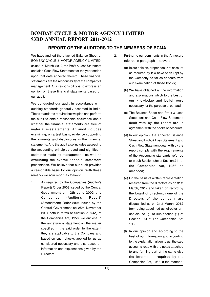### **REPORT OF THE AUDITORS TO THE MEMBERS OF BCMA**

We have audited the attached Balance Sheet of BOMBAY CYCLE & MOTOR AGENCY LIMITED, as at 31st March, 2012, the Profit & Loss Statement and also Cash Flow Statement for the year ended upon that date annexed thereto. These financial statements are the responsibility of the company's management. Our responsibility is to express an opinion on these financial statements based on our audit.

We conducted our audit in accordance with auditing standards generally accepted in India. Those standards require that we plan and perform the audit to obtain reasonable assurance about whether the financial statements are free of material misstatements. An audit includes examining, on a test basis, evidence supporting the amounts and disclosures in the financial statements. And the audit also includes assessing the accounting principles used and significant estimates made by management, as well as evaluating the overall financial statement presentation. We believe that our audit provides a reasonable basis for our opinion. With these remarks we now report as follows:

1. As required by the Companies (Auditor's Report) Order 2003 issued by the Central Government on 12th June 2003 and Companies (Auditor's Report) (Amendment) Order 2004 issued by the Central Government on 25th November 2004 both in terms of Section 227(4A) of the Companies Act, 1956, we enclose in the annexure a statement on the matter specified in the said order to the extent they are applicable to the Company and based on such checks applied by us as considered necessary and also based on information and explanations given by the Directors.

- 2. Further to our comments in the Annexure referred in paragraph 1 above :
	- (a) In our opinion, proper books of account as required by law have been kept by the Company so far as appears from our examination of those books;
	- (b) We have obtained all the information and explanations which to the best of our knowledge and belief were necessary for the purpose of our audit;
	- (c) The Balance Sheet and Profit & Loss Statement and Cash Flow Statement dealt with by the report are in agreement with the books of accounts;
	- (d) In our opinion, the annexed Balance Sheet and Profit & Loss Statement and Cash Flow Statement dealt with by the report comply with the requirements of the Accounting standards referred to in sub Section (3c) of Section 211 of the Companies Act, 1956 as amended;
	- (e) On the basis of written representation received from the directors as on 31st March, 2012 and taken on record by the board of directors, none of the Directors of the company are disqualified as on 31st March, 2012 from being appointed as director under clause (g) of sub-section (1) of Section 274 of The Companies' Act 1956;
	- (f) In our opinion and according to the best of our information and according to the explanation given to us, the said accounts read with the notes attached to and forming part of the same give the information required by the Companies Act, 1956 in the manner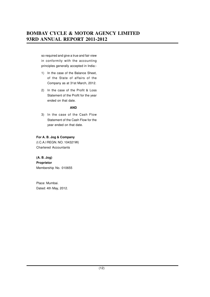so required and give a true and fair view in conformity with the accounting principles generally accepted in India:-

- 1) In the case of the Balance Sheet, of the State of affairs of the Company as at 31st March, 2012.
- 2) In the case of the Profit & Loss Statement of the Profit for the year ended on that date.

#### **AND**

3) In the case of the Cash Flow Statement of the Cash Flow for the year ended on that date.

### **For A. B. Jog & Company**

(I.C.A.I REGN. NO. 104321W) Chartered Accountants

**(A. B. Jog) Proprietor** Membership No. 010655

Place: Mumbai. Dated: 4th May, 2012.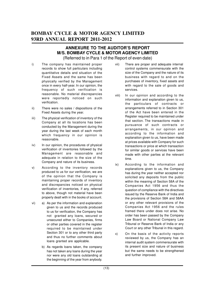## **ANNEXURE TO THE AUDITOR'S REPORT M/S. BOMBAY CYCLE & MOTOR AGENCY LIMITED**

(Referred to in Para 1 of the Report of even date)

- i) The company has maintained proper records to show full particulars including quantitative details and situation of the Fixed Assets and the same has been physically verified by the Management once in every half-year. In our opinion, the frequency of such verification is reasonable. No material discrepancies were reportedly noticed on such verification.
- ii) There were no sales / dispositions of the Fixed Assets during the year.
- iii) The physical verification of inventory of the Company at all its locations has been conducted by the Management during the year during the last week of each month which frequency in our opinion is reasonable.
- iv) In our opinion, the procedures of physical verification of inventories followed by the Management are reasonable and adequate in relation to the size of the Company and nature of its business.
- v) According to the inventory records produced to us for our verification, we are of the opinion that the Company is maintaining proper records of inventory and discrepancies noticed on physical verification of inventories, if any, referred to above, though not material have been properly dealt with in the books of account.
- vi) a) As per the information and explanation given to us and the records produced to us for verification, the Company has not granted any loans, secured or unsecured either to Companies, firms or other parties covered in the register required to be maintained under Section 301 or to any other third party and thus no further comments about loans granted are applicable.
	- b) As regards loans taken, the company has not taken any loans during the year nor were any old loans outstanding at the beginning of the year from anybody.
- vii) There are proper and adequate internal control systems commensurate with the size of the Company and the nature of its business with regard to and on the purchases of inventory, fixed assets and with regard to the sale of goods and services.
- viii) In our opinion and according to the information and explanation given to us, the particulars of contracts or arrangements referred to in Section 301 of the Act have been entered in the Register required to be maintained under that section. The transactions made in pursuance of such contracts or arrangements, in our opinion and according to the information and explanation given to us, have been made at prices available with Company for such transactions or price at which transaction for similar goods or services have been made with other parties at the relevant time.
- ix) According to the information and explanations given to us, the Company has during the year neither accepted nor solicited any deposits from the public within the meaning of Section 58A of the Companies Act 1956 and thus the question of compliance with the directives issued by the Reserve Bank of India and the provisions of Section 58A and 58AA or any other relevant provisions of the Companies Act 1956 and the rules framed there under does not arise. No order has been passed by the Company Law Board or National Company Law Tribunal or Reserve Bank of India or any Court or any other Tribunal in this regard.
- x) On the basis of the activity reports reviewed by us, the Company has an internal audit system commensurate with its present size and nature of business but the same needs to be strengthened and further improved.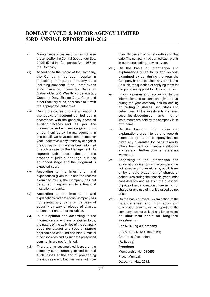- xi) Maintenance of cost records has not been prescribed by the Central Govt. under Sec. 209(i) (D) of the Companies Act, 1956 for the Company.
- xii) According to the record of the Company, the Company has been regular in depositing undisputed statutory dues including provident fund, employees state Insurance, Income tax, Sales tax (value added tax), Wealth tax, Service tax, Customs Duty, Excise Duty, Cess and other Statutory dues, applicable to it, with the appropriate authorities.
- xiii) During the course of our examination of the books of account carried out in accordance with the generally accepted auditing practices and as per the information and explanation given to us on our inquiries by the management, in this behalf, we have not come across for year under review any frauds by or against the Company nor have we been informed of such a case by the Management. As regards such cases in the past, the process of judicial hearings is in the advanced stage and the judgment is expected soon.
- xiv) According to the information and explanations given to us and the records examined by us, the Company has not defaulted in repayment to a financial institution or banks.
- xv) According to the information and explanations given to us the Company has not granted any loans on the basis of security by way of pledge of shares, debentures and other securities.
- xvi) In our opinion and according to the information and explanations given to us, the nature of the activities of the company does not attract any special statute applicable to chit fund and nidhi / mutual fund / societies and as such the prescribed comments are not furnished.
- xvii) There are no accumulated losses of the company as at current year end but had such losses at the end of proceeding previous year end but they were not more

than fifty percent of its net worth as on that date. The company had earned cash profits in such proceeding previous year.

- xviii) On the basis of information and explanations given to us and records examined by us, during the year the Company has not obtained any term loans. As such, the question of applying them for the purposes applied for does not arise.
- xix) In our opinion and according to the information and explanations given to us, during the year company has no dealing or trading in shares, securities and debentures. All the investments in shares, securities, debentures and other instruments are held by the company in its own name.
- xx) On the basis of information and explanations given to us and records examined by us, the company has not given any guarantee for loans taken by others from bank or financial institutions and as such further comments are not warranted.
- xxi) According to the information and explanations given to us, the company has not raised any money either by public issue or by private placement of shares or debentures during the financial year under consideration and as such the questions of price of issue, creation of security or charge or end use of monies raised do not arise.
- xxii) On the basis of overall examination of the Balance sheet and information and explanation given to us, we report that the company has not utilized any funds raised on short-term basis for long-term investments.

#### **For A. B. Jog & Company**

(I.C.A.I REGN. NO. 104321W) Chartered Accountants **(A. B. Jog) Proprietor** Membership No. 010655 Place: Mumbai. Dated: 4th May, 2012.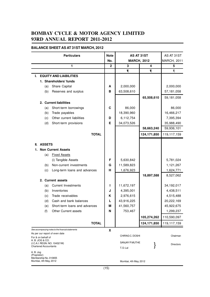### **BALANCE SHEET AS AT 31ST MARCH, 2012**

|                           |                                                | <b>Particulars</b>                                 | <b>Note</b>  | AS AT 31ST            |             | AS AT 31ST         |
|---------------------------|------------------------------------------------|----------------------------------------------------|--------------|-----------------------|-------------|--------------------|
|                           |                                                |                                                    | No.          | <b>MARCH, 2012</b>    |             | <b>MARCH, 2011</b> |
|                           |                                                | 1                                                  | $\mathbf{2}$ | 3                     | 4           | 5                  |
|                           |                                                |                                                    |              | ₹                     | ₹           | ₹                  |
| L.                        |                                                | <b>EQUITY AND LIABILITIES</b>                      |              |                       |             |                    |
|                           |                                                | 1. Shareholders' funds                             |              |                       |             |                    |
|                           | (a)                                            | Share Capital                                      | A            | 2,000,000             |             | 2,000,000          |
|                           | (b)                                            | Reserves and surplus                               | в            | 63,508,610            |             | 57,181,058         |
|                           |                                                |                                                    |              |                       | 65,508,610  | 59,181,058         |
|                           |                                                | 2. Current liabilities                             |              |                       |             |                    |
|                           | (a)                                            | Short-term borrowings                              | C            | 86,000                |             | 86,000             |
|                           | (b)                                            | Trade payables                                     |              | 18,390,960            |             | 16,466,217         |
|                           | (c)                                            | Other current liabilities                          | D            | 6,112,754             |             | 7,395,394          |
|                           | (d)                                            | Short-term provisions                              | Е            | 34,073,526            |             | 35,988,490         |
|                           |                                                |                                                    |              |                       | 58,663,240  | 59,936,101         |
|                           |                                                | <b>TOTAL</b>                                       |              |                       | 124,171,850 | 119,117,159        |
|                           |                                                |                                                    |              |                       |             |                    |
| Ш.                        | <b>ASSETS</b>                                  |                                                    |              |                       |             |                    |
| 1.                        |                                                | <b>Non Current Assets</b>                          |              |                       |             |                    |
|                           | (a)                                            | <b>Fixed Assets</b>                                |              |                       |             |                    |
|                           |                                                | (i) Tangible Assets                                | F            | 5,630,842             |             | 5,781,024          |
|                           | (b)                                            | Non-current investments                            | G            | 11,589,823            |             | 1,121,267          |
|                           | (c)                                            | Long-term loans and advances                       | н            | 1,676,923             |             | 1,624,771          |
|                           |                                                |                                                    |              |                       | 18,897,588  | 8,527,062          |
|                           |                                                | 2. Current assets                                  |              |                       |             |                    |
|                           | (a)                                            | <b>Current Investments</b>                         | L            | 11,672,197            |             | 34,192,017         |
|                           | (b)                                            | Inventories                                        | J            | 4,395,001             |             | 4,438,511          |
|                           | (c)                                            | Trade receivables                                  | K            | 2,976,615             |             | 4,515,488          |
|                           | (d)                                            | Cash and bank balances                             |              | 43,916,225            |             | 20,222,169         |
|                           | (e)                                            | Short-term loans and advances                      | М            | 41,560,757            |             | 45,922,675         |
|                           | (f)                                            | Other Current assets                               | N            | 753,467               |             | 1,299,237          |
|                           |                                                |                                                    |              |                       | 105,274,262 | 110,590,097        |
|                           |                                                | <b>TOTAL</b>                                       |              |                       | 124,171,850 | 119,117,159        |
|                           |                                                | See accompanying notes to the financial statements | X            |                       |             |                    |
|                           |                                                | As per our report of even date                     |              | CHIRAG C. DOSHI       |             | Chairman           |
|                           | For & on behalf of<br>A. B. JOG & CO.          |                                                    |              |                       |             |                    |
|                           | <b>Chartered Accountants</b>                   | (I.C.A.I. REGN. NO. 104321W)                       |              | SANJAY P. MUTHE       |             | <b>Directors</b>   |
|                           |                                                |                                                    |              | T.D.Lal               |             |                    |
| A. B. Jog<br>(Proprietor) |                                                |                                                    |              |                       |             |                    |
|                           | Membership No. 010655<br>Mumbai, 4th May, 2012 |                                                    |              | Mumbai, 4th May, 2012 |             |                    |
|                           |                                                |                                                    |              |                       |             |                    |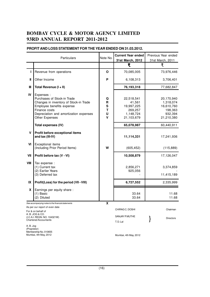|           | Particulars                                                                                                                                                                                   | Note No.                   | <b>Current Year ended</b><br>31st March, 2012                            | Previous Year ended<br>31st March, 2011                                   |
|-----------|-----------------------------------------------------------------------------------------------------------------------------------------------------------------------------------------------|----------------------------|--------------------------------------------------------------------------|---------------------------------------------------------------------------|
|           |                                                                                                                                                                                               |                            | ₹                                                                        | ₹                                                                         |
| п         | Revenue from operations                                                                                                                                                                       | O                          | 70,085,005                                                               | 73,976,446                                                                |
| Ш         | Other Income                                                                                                                                                                                  | P                          | 6,108,313                                                                | 3,706,401                                                                 |
| Ш         | Total Revenue (I + II)                                                                                                                                                                        |                            | 76,193,318                                                               | 77,682,847                                                                |
| IV        | Expenses :<br>Purchases of Stock-in Trade<br>Changes in inventory of Stock-in Trade<br>Employee benefits expense<br>Finance costs<br>Depreciation and amortization expenses<br>Other Expenses | Q<br>R<br>S<br>T<br>Ù<br>V | 22,518,541<br>41,561<br>19,997,225<br>269,257<br>1,148,724<br>21,103,679 | 20,170,940<br>1,318,074<br>16,610,760<br>198,363<br>932,394<br>21,210,380 |
|           | Total expenses (IV)                                                                                                                                                                           |                            | 65,078,987                                                               | 60,440,911                                                                |
| V         | Profit before exceptional items<br>and tax (III-IV)                                                                                                                                           |                            | 11,114,331                                                               | 17,241,936                                                                |
| VI        | Exceptional items<br>(Including Prior Period Items)                                                                                                                                           | W                          | (605, 452)                                                               | (115, 889)                                                                |
| VII       | Profit before tax (V - VI)                                                                                                                                                                    |                            | 10,508,879                                                               | 17,126,047                                                                |
| VIII      | Tax expense :<br>(1) Current tax<br>(2) Earlier Years<br>(3) Deferred tax                                                                                                                     |                            | 2,856,271<br>925,056                                                     | 3,374,859<br>11,415,189                                                   |
| IX        | Profit(Loss) for the period (VII - VIII)                                                                                                                                                      |                            | 6,727,552                                                                | 2,335,999                                                                 |
| X         | Earnings per equity share :<br>$(1)$ Basic<br>(2) Diluted                                                                                                                                     |                            | 33.64<br>33.64                                                           | 11.68<br>11.68                                                            |
|           | See accompanying notes to the financial statements                                                                                                                                            | $\overline{\mathbf{x}}$    |                                                                          |                                                                           |
|           | As per our report of even date<br>For & on behalf of                                                                                                                                          |                            | CHIRAG C. DOSHI                                                          | Chairman                                                                  |
|           | A. B. JOG & CO.<br>(I.C.A.I. REGN. NO. 104321W)<br><b>Chartered Accountants</b>                                                                                                               |                            | SANJAY P. MUTHE<br>T.D.Lal                                               | <b>Directors</b>                                                          |
| A. B. Jog |                                                                                                                                                                                               |                            |                                                                          |                                                                           |

### **PROFIT AND LOSS STATEMENT FOR THE YEAR ENDED ON 31.03.2012.**

(Proprietor) Membership No. 010655 Mumbai, 4th May, 2012

Mumbai, 4th May, 2012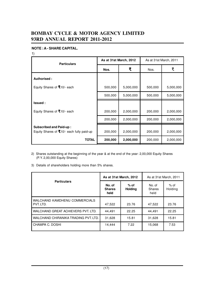### **NOTE : A - SHARE CAPITAL.**

1)

| <b>Particulars</b>                                                            | As at 31st March, 2012 |           | As at 31st March, 2011 |           |
|-------------------------------------------------------------------------------|------------------------|-----------|------------------------|-----------|
|                                                                               | Nos.                   | ₹         | Nos.                   | ₹         |
| Authorised:                                                                   |                        |           |                        |           |
| Equity Shares of $Z10/-$ each                                                 | 500,000                | 5,000,000 | 500,000                | 5,000,000 |
|                                                                               | 500,000                | 5,000,000 | 500,000                | 5,000,000 |
| <b>Issued:</b>                                                                |                        |           |                        |           |
| Equity Shares of $Z10/-$ each                                                 | 200,000                | 2,000,000 | 200,000                | 2,000,000 |
|                                                                               | 200,000                | 2,000,000 | 200,000                | 2,000,000 |
| <b>Subscribed and Paid-up:</b><br>Equity Shares of $Z10/-$ each fully paid-up | 200,000                | 2,000,000 | 200,000                | 2,000,000 |
| <b>TOTAL</b>                                                                  | 200,000                | 2,000,000 | 200,000                | 2,000,000 |

2) Shares outstanding at the beginning of the year & at the end of the year: 2,00,000 Equity Shares (P. Y. 2,00,000 Equity Shares)

3) Details of shareholders holding more than 5% shares.

|                                            | As at 31st March, 2012          |                          | As at 31st March, 2011          |                 |
|--------------------------------------------|---------------------------------|--------------------------|---------------------------------|-----------------|
| <b>Particulars</b>                         | No. of<br><b>Shares</b><br>held | $%$ of<br><b>Holding</b> | No. of<br><b>Shares</b><br>held | % of<br>Holding |
| WALCHAND KAMDHENU COMMERCIALS<br>PVT. LTD. | 47,522                          | 23.76                    | 47,522                          | 23.76           |
| WALCHAND GREAT ACHIEVERS PVT. LTD.         | 44,491                          | 22.25                    | 44,491                          | 22.25           |
| WALCHAND CHIRANIKA TRADING PVT. LTD.       | 31,628                          | 15.81                    | 31,628                          | 15.81           |
| CHAMPA C. DOSHI                            | 14,444                          | 7.22                     | 15,068                          | 7.53            |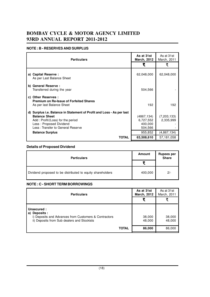### **NOTE : B - RESERVES AND SURPLUS**

| <b>Particulars</b>                                                                                                                                                                                 | As at 31st<br><b>March, 2012</b>              | As at 31st<br>March, 2011  |
|----------------------------------------------------------------------------------------------------------------------------------------------------------------------------------------------------|-----------------------------------------------|----------------------------|
|                                                                                                                                                                                                    | ₹                                             | ₹                          |
| a) Capital Reserve :<br>As per Last Balance Sheet                                                                                                                                                  | 62,048,000                                    | 62,048,000                 |
| b) General Reserve :<br>Transferred during the year                                                                                                                                                | 504,566                                       |                            |
| c) Other Reserves :<br><b>Premium on Re-Issue of Forfeited Shares</b><br>As per last Balance Sheet                                                                                                 | 192                                           | 192                        |
| d) Surplus i.e. Balance in Statement of Profit and Loss - As per last<br><b>Balance Sheet</b><br>Add: Profit/(Loss) for the period<br>Less: Proposed Dividend<br>Less: Transfer to General Reserve | (4867,134)<br>6,727,552<br>400,000<br>504,566 | (7, 203, 133)<br>2,335,999 |
| <b>Balance Surplus</b>                                                                                                                                                                             | 955,852                                       | (4,867,134)                |
| TOTAL                                                                                                                                                                                              | 63,508,610                                    | 57,181,058                 |

### **Details of Proposed Dividend**

| <b>Particulars</b>                                         | <b>Amount</b> | Rupees per<br>Share |
|------------------------------------------------------------|---------------|---------------------|
|                                                            |               |                     |
| Dividend proposed to be distributed to equity shareholders | 400,000       | $2/-$               |

### **NOTE : C - SHORT TERM BORROWINGS**

| <b>Particulars</b>                                                                                                                     | As at 31st<br><b>March, 2012</b> | As at 31st<br>March, 2011 |
|----------------------------------------------------------------------------------------------------------------------------------------|----------------------------------|---------------------------|
|                                                                                                                                        |                                  |                           |
| Unsecured:<br>Deposits :<br>a)<br>i) Deposits and Advances from Customers & Contractors<br>ii) Deposits from Sub dealers and Stockists | 38,000<br>48,000                 | 38,000<br>48,000          |
| <b>TOTAL</b>                                                                                                                           | 86,000                           | 86,000                    |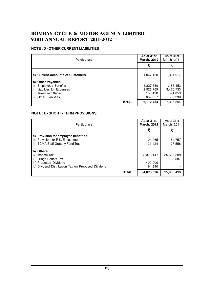## **BOMBAY CYCLE & MOTOR AGENCY LIMITED 93RD ANNUAL REPORT 2011-2012 93RD REPORT**

### **NOTE : D - OTHER CURRENT LIABILITIES**

| <b>Particulars</b>                                                                                                                   | As at 31st<br><b>March, 2012</b>             | As at 31st<br>March, 2011                    |
|--------------------------------------------------------------------------------------------------------------------------------------|----------------------------------------------|----------------------------------------------|
|                                                                                                                                      | ₹                                            |                                              |
| a) Current Accounts of Customers                                                                                                     | 1,047,150                                    | 1,364,917                                    |
| b) Other Payables :<br><b>Employees Benefits</b><br>Liabilties for Expenses<br>ii)<br>iii) Taxes remittable<br>iv) Other Liabilities | 1,327,380<br>2,926,769<br>158,498<br>652,957 | 1,188,453<br>3,470,733<br>521,053<br>850,238 |
| <b>TOTAL</b>                                                                                                                         | 6,112,754                                    | 7,395,394                                    |

### **NOTE : E - SHORT - TERM PROVISIONS**

| <b>Particulars</b>                                                                                                                             | As at 31st<br><b>March, 2012</b> | As at 31st<br>March, 2011 |
|------------------------------------------------------------------------------------------------------------------------------------------------|----------------------------------|---------------------------|
|                                                                                                                                                |                                  |                           |
| a) Provision for employee benefits :<br>Provision for P. L. Encashment<br><b>BCMA Staff Gratuity Fund Trust</b><br>ii)                         | 104,065<br>131,424               | 64,757<br>127,558         |
| Others:<br>b)<br>i)<br>Income Tax<br>ii)<br>Fringe Benefit Tax<br>iii) Proposed Dividend<br>iv) Dividend Distribution Tax on Proposed Dividend | 33,373,147<br>400,000<br>64,890  | 35,602,588<br>193,587     |
| <b>TOTAL</b>                                                                                                                                   | 34,073,526                       | 35,988,490                |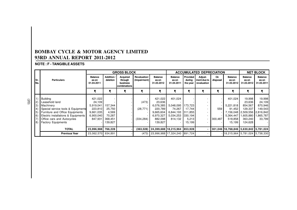### **NOTE : F - TANGIBLE ASSETS**

|              |                                                                                                |                                       |                              | <b>GROSS BLOCK</b>                                |                              |                                       |                                       |                                | <b>ACCUMULATED DEPRECIATION</b>       |                |                                        |                                              | <b>NET BLOCK</b>                      |
|--------------|------------------------------------------------------------------------------------------------|---------------------------------------|------------------------------|---------------------------------------------------|------------------------------|---------------------------------------|---------------------------------------|--------------------------------|---------------------------------------|----------------|----------------------------------------|----------------------------------------------|---------------------------------------|
| ISr.<br>INo. | <b>Particulars</b>                                                                             | <b>Balance</b><br>as on<br>01.04.2011 | Addition<br>deletion         | Acquired<br>through<br>business<br>combinations I | Revaluation/<br>(Impairment) | <b>Balance</b><br>as on<br>31.03.2012 | <b>Balance</b><br>as on<br>01.04.2011 | Provided<br>during<br>the year | Adjust-<br>ment due to<br>revaluation | On<br>disposal | <b>Balance</b><br>as on<br>31.03.2012  | <b>Balance</b><br>as on<br>31.03.2012        | <b>Balance</b><br>as on<br>31.03.2011 |
|              |                                                                                                |                                       |                              |                                                   |                              |                                       |                                       |                                |                                       | ₹              |                                        |                                              |                                       |
|              | Building<br>Leasehold land                                                                     | 421,022<br>24,109                     |                              |                                                   | (473)                        | 421,022<br>23,636                     | 401.024                               |                                |                                       |                | 401,024                                | 19,998<br>23,636                             | 19,998<br>24,109                      |
| 3)           | Machinery                                                                                      | 5,919,041                             | 157.344                      |                                                   |                              | 6,076,385                             | 5,048,095                             | 173.723                        |                                       |                | 5,221,818                              | 854,567                                      | 870,946                               |
|              | Special service tools & Equipments<br>Furniture and Office Equipments                          | 223,810<br>9,661,035                  | 25,750<br>4,569              |                                                   | (28, 771)                    | 220,789<br>9,665,604                  | 74,267<br>6,844,193                   | 17.744<br>311,855              |                                       | 559            | 91.452                                 | 129,337<br>7,156,048   2,509,556   2,816,842 | 149,543                               |
| 8)           | Electric installations & Equipments<br>Office cars and Autocycles<br><b>Factory Equipments</b> | 6,900,040<br>847,931                  | 70,287<br>368,451<br>139,827 |                                                   | (334, 284)                   | 6,970,327<br>882,098<br>139,827       | 5,034,253<br>814,132                  | 330,194<br>5,213<br>15,199     |                                       | 300,487        | 5,364,447<br>518,858<br>15.199         | 605,880. ا<br>363,240<br>124,628             | 1,865,787<br>33,799                   |
|              | <b>TOTAL</b>                                                                                   | 23,996,988                            | 766,228                      |                                                   | (363, 528)                   | 24,399,688 18,215,964                 |                                       | 853,928                        |                                       |                | 301,046 18,768,846 5,630,842 5,781,024 |                                              |                                       |
|              | <b>Previous Year</b>                                                                           | 23,062,570 934,891                    |                              |                                                   | (473)                        | 23,996,988 17,324,240 891,724         |                                       |                                |                                       |                | 18,215,964 5,781,024 5,738,330         |                                              |                                       |

(20)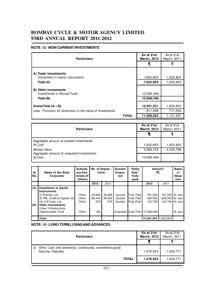#### **NOTE : G - NON-CURRENT INVESTMENTS**

| <b>Particulars</b>                                         | As at 31st<br><b>March, 2012</b> | As at 31st<br>March, 2011 |           |
|------------------------------------------------------------|----------------------------------|---------------------------|-----------|
|                                                            |                                  | ₹                         |           |
| A) Trade Investments                                       |                                  |                           |           |
| Investment in equity instruments                           |                                  | 1,832,803                 | 1,832,803 |
| Total (A)                                                  |                                  | 1,832,803                 | 1,832,803 |
| <b>B) Other Investments</b>                                |                                  |                           |           |
| Investments in Mutual Fund                                 |                                  | 10,568,448                |           |
| Total (B)                                                  |                                  | 10,568,448                |           |
| Grand Total $(A + B)$                                      |                                  | 12,401,251                | 1,832,803 |
| Less: Provision for diminution in the value of Investments |                                  | 811,428                   | 711,536   |
|                                                            | <b>TOTAL</b>                     | 11,589,823                | 1,121,267 |

| <b>Particulars</b>                                   | As at 31st<br><b>March, 2012</b> | As at 31st<br>March, 2011 |
|------------------------------------------------------|----------------------------------|---------------------------|
|                                                      |                                  |                           |
| Aggregate amount of quoted investments:<br>At Cost   | 1,832,803                        | 1,832,803                 |
| Market Value                                         | 3,069,123                        | 4,020,786                 |
| Aggregate amount of unquoted investments:<br>At Cost | 10,568,448                       |                           |

| Sr.<br>No. | Name of the Body<br>Corporate                                                                                                                               | Subsidi-<br>ary/Ass-<br>ociate/JV<br>/Others | No. of Shares /<br><b>Units</b> |                         |                            |                                                             |                               |                                               | Quoted/<br>Unquo-<br>ted | Partly<br>Paid /<br><b>Fully</b><br>paid |  | Amount<br>(3) |  |
|------------|-------------------------------------------------------------------------------------------------------------------------------------------------------------|----------------------------------------------|---------------------------------|-------------------------|----------------------------|-------------------------------------------------------------|-------------------------------|-----------------------------------------------|--------------------------|------------------------------------------|--|---------------|--|
|            |                                                                                                                                                             |                                              | 2012                            | 2011                    |                            |                                                             | 2012                          | 2011                                          |                          |                                          |  |               |  |
| (A)<br>(B) | <b>Investment in Equity</b><br><b>Instruments</b><br>(i) Premier Ltd.<br>(ii) PAL Credit & Capital Ltd.<br>(iii) D B Corp. Ltd.<br><b>Other Investments</b> | Other<br>Other<br>Other                      | 42,666<br>88,400<br>579         | 42,666<br>88.400<br>579 | Quoted<br>Quoted<br>Quoted | <b>Fully Paid</b><br><b>Fully Paid</b><br><b>Fully Paid</b> | 781,055<br>929,000<br>122.748 | 781,055<br>929,000 At cost<br>122.748 At cost | At cost                  |                                          |  |               |  |
|            | Urban Infrastructure<br>Opportunities Fund                                                                                                                  | Other                                        | 108                             |                         | Unguoted                   | <b>Fully Paid</b>                                           | 10,568,448                    |                                               | At cost I                |                                          |  |               |  |
|            | Total                                                                                                                                                       |                                              |                                 |                         |                            |                                                             | 12,401,251                    | 1,832,803                                     |                          |                                          |  |               |  |

### **NOTE : H - LONG TERM LOANS AND ADVANCES**

| <b>Particulars</b>                                                                      | As at 31st<br><b>March, 2012</b> | As at 31st<br>March, 2011 |
|-----------------------------------------------------------------------------------------|----------------------------------|---------------------------|
|                                                                                         |                                  |                           |
| Other Loan and advances: (unsecured, considered good)<br>a)<br><b>Security Deposits</b> | 1,676,923                        | 1,624,771                 |
| <b>TOTAL</b>                                                                            | 1,676,923                        | 1,624,771                 |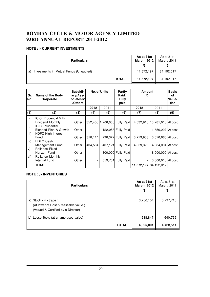### **NOTE : I - CURRENT INVESTMENTS**

| <b>Particulars</b>                           | As at 31st<br><b>March, 2012</b> | As at 31st<br>March, 2011 |
|----------------------------------------------|----------------------------------|---------------------------|
|                                              |                                  |                           |
| Investments in Mutual Funds (Unquoted)<br>a) | 11,672,197                       | 34,192,017                |
| <b>TOTAL</b>                                 | 11,672,197                       | 34,192,017                |

| Sr.<br>No.            | Name of the Body<br>Corporate                                               | Subsidi-<br>ary/Ass-<br>ociate/JV<br>/Others | No. of Units<br>Partly<br>Paid /<br><b>Fully</b><br>paid |      |                              | Amount<br>₹ | <b>Basis</b><br>of<br>Valua-<br>tion |     |
|-----------------------|-----------------------------------------------------------------------------|----------------------------------------------|----------------------------------------------------------|------|------------------------------|-------------|--------------------------------------|-----|
|                       |                                                                             |                                              | 2012                                                     | 2011 |                              | 2012        | 2011                                 |     |
| (1)                   | (2)                                                                         | (3)                                          | (4)                                                      | (5)  | (6)                          | (7)         | (8)                                  | (9) |
| i)<br>$\mathsf{ii}$ ) | <b>ICICI Prudential MIP-</b><br>Dividend Monthly<br><b>ICICI Prudential</b> | Other                                        |                                                          |      | 352,455 1,206,605 Fully Paid |             | 4,032,918 13,781,013 At cost         |     |
| iii)                  | Blended Plan A-Growth<br><b>HDFC High Interest</b>                          | Other                                        |                                                          |      | 122,058 Fully Paid           |             | 1,656,297 At cost                    |     |
| iv)                   | Fund<br><b>HDFC Cash</b>                                                    | Other                                        | 310,114                                                  |      | 290,327 Fully Paid           | 3,279,953   | 3,070,660 At cost                    |     |
| V)                    | Management Fund<br>Reliance Fixed                                           | Other                                        | 434,564                                                  |      | 407,121 Fully Paid           | 4,359,326   | 4,084,034 At cost                    |     |
| vi)                   | Horizon Fund<br>Reliance Monthly                                            | Other                                        |                                                          |      | 800,000 Fully Paid           |             | 8,000,000 At cost                    |     |
|                       | Interval Fund                                                               | Other                                        |                                                          |      | 359,731 Fully Paid           |             | 3,600,013 At cost                    |     |
|                       | <b>TOTAL</b>                                                                |                                              |                                                          |      |                              | 11,672,197  | 34,192,017                           |     |

### **NOTE : J - INVENTORIES**

| <b>Particulars</b>                                                                                     | As at 31st<br><b>March, 2012</b> | As at 31st<br>March, 2011 |
|--------------------------------------------------------------------------------------------------------|----------------------------------|---------------------------|
|                                                                                                        |                                  |                           |
| a) Stock - in - trade :<br>(At lower of Cost & realisable value)<br>(Valued & Certified by a Director) | 3,756,154                        | 3,797,715                 |
| b) Loose Tools (at unamortised value)                                                                  | 638,847                          | 640,796                   |
| <b>TOTAL</b>                                                                                           | 4,395,001                        | 4,438,511                 |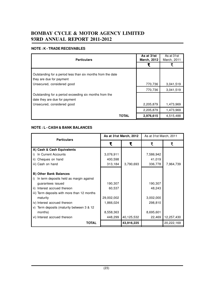### **NOTE : K - TRADE RECEIVABLES**

| <b>Particulars</b>                                                                      | As at 31st<br><b>March, 2012</b> | As at 31st<br>March, 2011 |
|-----------------------------------------------------------------------------------------|----------------------------------|---------------------------|
|                                                                                         | ₹                                |                           |
| Outstanding for a period less than six months from the date<br>they are due for payment |                                  |                           |
| Unsecured, considered good                                                              | 770,736                          | 3,041,519                 |
|                                                                                         | 770,736                          | 3,041,519                 |
| Outstanding for a period exceeding six months from the<br>date they are due for payment |                                  |                           |
| Unsecured, considered good                                                              | 2,205,879                        | 1,473,969                 |
|                                                                                         | 2,205,879                        | 1,473,969                 |
| <b>TOTAL</b>                                                                            | 2,976,615                        | 4,515,488                 |

### **NOTE : L - CASH & BANK BALANCES**

| <b>Particulars</b>                            |            | As at 31st March, 2012 | As at 31st March, 2011 |            |  |
|-----------------------------------------------|------------|------------------------|------------------------|------------|--|
|                                               | ₹          | ₹                      | ₹                      | ₹          |  |
| A) Cash & Cash Equivalents                    |            |                        |                        |            |  |
| In Current Accounts                           | 3,076,911  |                        | 7,586,942              |            |  |
| Cheques on hand<br>ii)                        | 400,598    |                        | 41,019                 |            |  |
| iii) Cash on hand                             | 313,184    | 3,790,693              | 336,778                | 7,964,739  |  |
|                                               |            |                        |                        |            |  |
| <b>B) Other Bank Balances</b>                 |            |                        |                        |            |  |
| In term deposits held as margin against<br>i) |            |                        |                        |            |  |
| guarantees issued                             | 190,307    |                        | 190,307                |            |  |
| ii) Interest accrued thereon                  | 60,537     |                        | 48,243                 |            |  |
| iii) Term deposits with more than 12 months   |            |                        |                        |            |  |
| maturity                                      | 29,002,002 |                        | 3,002,000              |            |  |
| iv) Interest accrued thereon                  | 1,866,024  |                        | 298,810                |            |  |
| v) Term deposits (maturity between 3 & 12     |            |                        |                        |            |  |
| months)                                       | 8,558,363  |                        | 8,695,601              |            |  |
| vi) Interest accrued thereon                  | 448,299    | 40,125,532             | 22,469                 | 12,257,430 |  |
| <b>TOTAL</b>                                  |            | 43,916,225             |                        | 20,222,169 |  |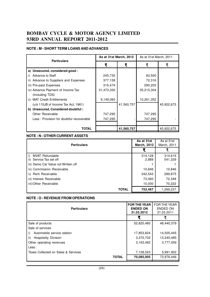### **NOTE : M - SHORT TERM LOANS AND ADVANCES**

| <b>Particulars</b>                       | As at 31st March, 2012 |            | As at 31st March, 2011 |            |  |
|------------------------------------------|------------------------|------------|------------------------|------------|--|
|                                          | ₹                      | ₹          | ₹                      | ₹          |  |
| a) Unsecured, considered good :          |                        |            |                        |            |  |
| Advance to Staff                         | 245,735                |            | 83,500                 |            |  |
| ii) Advance to Suppliers and Expenses    | 377,158                |            | 72,316                 |            |  |
| iii) Pre-paid Expenses                   | 315,474                |            | 290,203                |            |  |
| iv) Advance Payment of Income Tax        | 31,473,330             |            | 35,215,304             |            |  |
| (Including TDS)                          |                        |            |                        |            |  |
| v) MAT Credit Entitlements               | 9,149,060              |            | 10,261,352             |            |  |
| (u/s 115JB of Income Tax Act, 1961)      |                        | 41,560,757 |                        | 45,922,675 |  |
| b) Unsecured, Considered doubtful:       |                        |            |                        |            |  |
| <b>Other Receivable</b>                  | 747,295                |            | 747,295                |            |  |
| Less: Provision for doubtful recoverable | 747,295                |            | 747,295                |            |  |
|                                          |                        |            |                        |            |  |
| <b>TOTAL</b>                             |                        | 41,560,757 |                        | 45,922,675 |  |

### **NOTE : N - OTHER CURRENT ASSETS**

| <b>Particulars</b>                  | As at 31st<br><b>March, 2012</b> | As at 31st<br>March, 2011 |
|-------------------------------------|----------------------------------|---------------------------|
|                                     |                                  |                           |
| <b>MVAT Refundable</b>              | 314,128                          | 314,616                   |
| Service Tax set off<br>ii)          | 2,889                            | 541,329                   |
| iii) Demo Car Value not Written off |                                  |                           |
| iv) Commission Receivable           | 10,846                           | 10,846                    |
| v) Rent Receivable                  | 342,543                          | 289,875                   |
| vi) Interest Receivable             | 73,060                           | 72,348                    |
| vii) Other Receivable               | 10,000                           | 70,222                    |
| TOTAL                               | 753,467                          | 1,299,237                 |

### **NOTE : O - REVENUE FROM OPERATIONS**

| <b>Particulars</b>                  | <b>FOR THE YEAR</b><br><b>ENDED ON</b><br>31.03.2012 | FOR THE YEAR<br>ENDED ON<br>31.03.2011 |
|-------------------------------------|------------------------------------------------------|----------------------------------------|
|                                     |                                                      | ₹                                      |
| Sale of products                    | 52,825,480                                           | 48,440,379                             |
| Sale of services                    |                                                      |                                        |
| Automobile service station<br>i)    | 17,853,824                                           | 14,505,445                             |
| ii)<br><b>Hospitality Division</b>  | 3,370,732                                            | 13,245,485                             |
| Other operating revenues            | 3,163,492                                            | 3,777,059                              |
| Less:                               |                                                      |                                        |
| Taxes Collected on Sales & Services | 7,128,523                                            | 5,991,922                              |
| <b>TOTAL</b>                        | 70,085,005                                           | 73,976,446                             |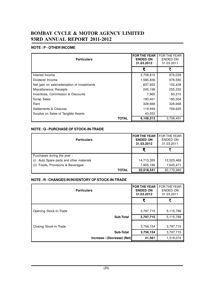### **NOTE : P - OTHER INCOME**

| <b>Particulars</b>                         | <b>FOR THE YEAR</b><br><b>ENDED ON</b><br>31.03.2012 | <b>FOR THE YEAR</b><br><b>ENDED ON</b><br>31.03.2011 |
|--------------------------------------------|------------------------------------------------------|------------------------------------------------------|
|                                            | ₹                                                    | ₹                                                    |
| Interest Income                            | 2,758,810                                            | 976,039                                              |
| Dividend Income                            | 1,585,836                                            | 978,580                                              |
| Net gain on sale/redemption of investments | 837,932                                              | 152,438                                              |
| Miscellaneous Receipts                     | 245,199                                              | 255,332                                              |
| Incentives, Commission & Discounts         | 7,965                                                | 60,215                                               |
| <b>Scrap Sales</b>                         | 180,401                                              | 185,504                                              |
| Rent                                       | 328,668                                              | 328,668                                              |
| Settlements & Closures                     | 119,949                                              | 769.625                                              |
| Surplus on Sales of Tangible Assets        | 43,553                                               |                                                      |
| <b>TOTAL</b>                               | 6,108,313                                            | 3,706,401                                            |

### **NOTE : Q - PURCHASE OF STOCK-IN-TRADE**

| <b>Particulars</b>                    | <b>FOR THE YEAR</b><br><b>ENDED ON</b><br>31.03.2012 | <b>FOR THE YEAR</b><br>ENDED ON<br>31.03.2011 |
|---------------------------------------|------------------------------------------------------|-----------------------------------------------|
|                                       |                                                      |                                               |
| Purchases during the year:            |                                                      |                                               |
| Auto Spare parts and other materials  | 14,713,355                                           | 12,525,469                                    |
| Foods, Provisions & Beverages<br>(ii) | 7,805,186                                            | 7,645,471                                     |
| <b>TOTAL</b>                          | 22,518,541                                           | 20,170,940                                    |

### **NOTE : R - CHANGES IN INVENTORY OF STOCK-IN-TRADE**

| <b>Particulars</b>     |                             | <b>FOR THE YEAR</b><br><b>ENDED ON</b><br>31.03.2012 | <b>FOR THE YEAR</b><br><b>ENDED ON</b><br>31.03.2011 |
|------------------------|-----------------------------|------------------------------------------------------|------------------------------------------------------|
|                        |                             | ₹                                                    | ₹                                                    |
| Opening Stock-in-Trade |                             | 3,797,715                                            | 5,115,789                                            |
|                        | <b>Sub-Total</b>            | 3,797,715                                            | 5,115,789                                            |
| Closing Stock-in-Trade |                             | 3,756,154                                            | 3,797,715                                            |
|                        | <b>Sub-Total</b>            | 3,756,154                                            | 3,797,715                                            |
|                        | Increase / (Decrease) (Net) | 41,561                                               | 1,318,074                                            |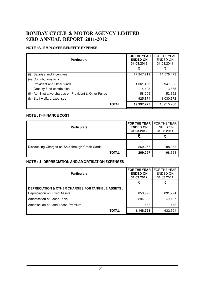### **NOTE : S - EMPLOYEE BENEFITS EXPENSE**

| <b>Particulars</b>                                      | <b>FOR THE YEAR</b><br><b>ENDED ON</b><br>31.03.2012 | <b>FOR THE YEAR</b><br>ENDED ON<br>31.03.2011 |
|---------------------------------------------------------|------------------------------------------------------|-----------------------------------------------|
|                                                         | ₹                                                    | ₹                                             |
| Salaries and incentives                                 | 17.947.219                                           | 14,576,473                                    |
| Contributions to :-<br>(ii)                             |                                                      |                                               |
| Provident and Other funds                               | 1,061,429                                            | 947,398                                       |
| Gratuity fund contribution                              | 4,498                                                | 3,865                                         |
| (iii) Administrative charges on Provident & Other Funds | 58,205                                               | 52.352                                        |
| (iv) Staff welfare expenses                             | 925,874                                              | 1,030,672                                     |
| <b>TOTAL</b>                                            | 19,997,225                                           | 16,610,760                                    |

### **NOTE : T - FINANCE COST**

| <b>Particulars</b>                               |              | <b>FOR THE YEAR</b><br><b>ENDED ON</b><br>31.03.2012 | <b>FOR THE YEAR</b><br>ENDED ON<br>31.03.2011 |
|--------------------------------------------------|--------------|------------------------------------------------------|-----------------------------------------------|
|                                                  |              |                                                      |                                               |
| Discounting Charges on Sale through Credit Cards |              | 269,257                                              | 198,363                                       |
|                                                  | <b>TOTAL</b> | 269,257                                              | 198,363                                       |

### **NOTE : U - DEPRECIATION AND AMORTISATION EXPENSES**

| <b>Particulars</b>                                            | <b>FOR THE YEAR</b><br><b>ENDED ON</b><br>31.03.2012 | <b>FOR THE YEAR</b><br>ENDED ON<br>31.03.2011 |
|---------------------------------------------------------------|------------------------------------------------------|-----------------------------------------------|
|                                                               |                                                      |                                               |
| <b>DEPRECIATION &amp; OTHER CHARGES FOR TANGIBLE ASSETS :</b> |                                                      |                                               |
| Depreciation on Fixed Assets                                  | 853,928                                              | 891,724                                       |
| Amortisation of Loose Tools                                   | 294,323                                              | 40,197                                        |
| Amortisation of Land Lease Premium                            | 473                                                  | 473                                           |
| <b>TOTAL</b>                                                  | 1,148,724                                            | 932.394                                       |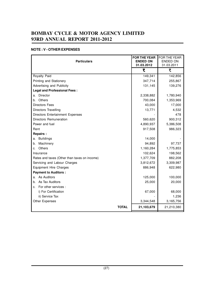### **NOTE : V - OTHER EXPENSES**

| <b>Particulars</b>                           | <b>FOR THE YEAR</b><br><b>ENDED ON</b><br>31.03.2012 | FOR THE YEAR<br><b>ENDED ON</b><br>31.03.2011 |
|----------------------------------------------|------------------------------------------------------|-----------------------------------------------|
|                                              | ₹                                                    | ₹                                             |
| Royalty Paid                                 | 149,341                                              | 142,856                                       |
| Printing and Stationery                      | 347,714                                              | 255,867                                       |
| Advertising and Publicity                    | 131,145                                              | 139,276                                       |
| <b>Legal and Professional Fees:</b>          |                                                      |                                               |
| Director<br>a.                               | 2,338,882                                            | 1,780,940                                     |
| Others<br>b.                                 | 700,084                                              | 1,353,969                                     |
| <b>Directors Fees</b>                        | 43,000                                               | 17,000                                        |
| Directors Travelling                         | 13,771                                               | 4,532                                         |
| Directors Entertainment Expenses             |                                                      | 478                                           |
| Directors Remuneration                       | 560,620                                              | 900,312                                       |
| Power and fuel                               | 4,890,937                                            | 5,386,508                                     |
| Rent                                         | 917,508                                              | 986,323                                       |
| <b>Repairs:</b>                              |                                                      |                                               |
| <b>Buildings</b><br>а.                       | 14,000                                               |                                               |
| Machinery<br>b.                              | 94,892                                               | 97,737                                        |
| Others<br>C.                                 | 1,160,284                                            | 1,775,853                                     |
| Insurance                                    | 102,624                                              | 198,562                                       |
| Rates and taxes (Other than taxes on income) | 1,377,709                                            | 882,208                                       |
| Servicing and Labour Charges                 | 3,812,672                                            | 3,309,987                                     |
| <b>Equipment Hire Charges</b>                | 886,948                                              | 622,980                                       |
| <b>Payment to Auditors:</b>                  |                                                      |                                               |
| As Auditors<br>a.                            | 125,000                                              | 100,000                                       |
| b. As Tax Auditors                           | 25,000                                               | 20,000                                        |
| For other services :<br>C.                   |                                                      |                                               |
| i) For Certification                         | 67,000                                               | 68,000                                        |
| ii) Service Tax                              |                                                      | 1,236                                         |
| Other Expenses                               | 3,344,548                                            | 3,165,756                                     |
| <b>TOTAL</b>                                 | 21,103,679                                           | 21,210,380                                    |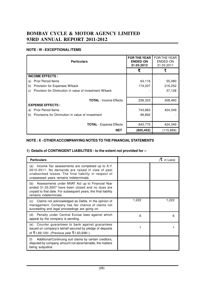### **NOTE : W - EXCEPTIONAL ITEMS**

| <b>Particulars</b>                                           | <b>FOR THE YEAR</b><br><b>ENDED ON</b><br>31.03.2012 | <b>FOR THE YEAR</b><br><b>ENDED ON</b><br>31.03.2011 |
|--------------------------------------------------------------|------------------------------------------------------|------------------------------------------------------|
|                                                              | ₹                                                    | ₹                                                    |
| <b>INCOME EFFECTS:</b>                                       |                                                      |                                                      |
| <b>Prior Period Items</b><br>a)                              | 64,116                                               | 55,080                                               |
| Provision for Expenses W/back<br>b)                          | 174,207                                              | 216,252                                              |
| Provision for Diminution in value of investment W/back<br>C) |                                                      | 37,128                                               |
|                                                              |                                                      |                                                      |
| <b>TOTAL</b> - Income Effects                                | 238,323                                              | 308,460                                              |
| <b>EXPENSE EFFECTS:</b>                                      |                                                      |                                                      |
| <b>Prior Period Items</b><br>a)                              | 743,883                                              | 424,349                                              |
| Provisions for Diminution in value of investment<br>b)       | 99,892                                               |                                                      |
|                                                              |                                                      |                                                      |
| <b>TOTAL</b> - Expense Effects                               | 843,775                                              | 424,349                                              |
| <b>NET</b>                                                   | (605, 452)                                           | (115, 889)                                           |

### **NOTE : X - OTHER ACCOMPANYING NOTES TO THE FINANCIAL STATEMENTS**

### **1) Details of CONTINGENT LIABILITIES - to the extent not provided for :-**

| <b>Particulars</b>                                                                                                                                                                                         |       | $(\xi$ in Lacs) |
|------------------------------------------------------------------------------------------------------------------------------------------------------------------------------------------------------------|-------|-----------------|
| (a) Income Tax assessments are completed up to A.Y.<br>2010-2011. No demands are raised in view of past<br>unabsorbed losses. The final liability in respect of<br>unassessed years remains indeterminate. |       |                 |
| (b) Assessments under MVAT Act up to Financial Year<br>ended 31.03.2007 have been closed and no dues are<br>unpaid to that date. For subsequent years, the final liability<br>remains indeterminate.       |       |                 |
| Claims not acknowledged as Debts. In the opinion of<br>(C)<br>management, Company has fair chance of claims not<br>succeeding and legal proceedings are going on.                                          | 1,222 | 1,222           |
| Penalty under Central Excise laws against which<br>(d)<br>appeal by the company is pending.                                                                                                                | 6     | 6               |
| Counter guarantees to bank against guarantees<br>(e)<br>issued on company's behalf secured by pledge of deposits<br>of ₹1,69,120/- (Previous year ₹1,63,938/-).                                            |       |                 |
| (f)<br>Additional/Continuing suit claims by certain creditors,<br>disputed by company, amount not ascertainable, the matters<br>being subjudice.                                                           |       |                 |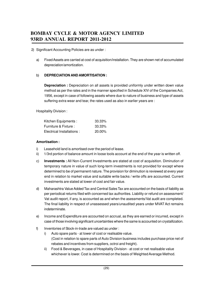- 2) Significant Accounting Policies are as under :
	- a) Fixed Assets are carried at cost of acquisition/installation. They are shown net of accumulated depreciation/amortization.

### b) **DEPRECIATION AND AMORTISATION :**

**Depreciation :** Depreciation on all assets is provided uniformly under written down value method as per the rates and in the manner specified in Schedule XIV of the Companies Act, 1956, except in case of following assets where due to nature of business and type of assets suffering extra wear and tear, the rates used as also in earlier years are :

Hospitality Division :

| Kitchen Equipments :       | 33.33%    |
|----------------------------|-----------|
| Furniture & Fixture :      | 33.33%    |
| Electrical Installations : | $20.00\%$ |

### **Amortisation :**

- i) Leasehold land is amortised over the period of lease.
- ii) 1/3rd portion of balance amount in loose tools account at the end of the year is written off.
- c) **Investments :** All Non-Current Investments are stated at cost of acquisition. Diminution of temporary nature in value of such long-term investments is not provided for except where determined to be of permanent nature. The provision for diminution is reviewed at every year end in relation to market value and suitable write backs / write offs are accounted. Current investments are stated at lower of cost and fair value.
- d) Maharashtra Value Added Tax and Central Sales Tax are accounted on the basis of liability as per periodical returns filed with concerned tax authorities. Liability or refund on assessment/ Vat audit report, if any, is accounted as and when the asessments/Vat audit are completed. The final liability in respect of unassessed years/unaudited years under MVAT Act remains indeterminate.
- e) Income and Expenditure are accounted on accrual, as they are earned or incurred, except in case of those involving significant uncertainties where the same is accounted on crystallization.
- f) Inventories of Stock-in-trade are valued as under :
	- i) Auto spare parts at lower of cost or realisable value. (Cost in relation to spare parts of Auto Division business includes purchase price net of rebates and incentives from suppliers, octroi and freight).
	- ii) Food & Beverages, in case of Hospitality Division at cost or net realisable value whichever is lower. Cost is determined on the basis of Weighted Average Method.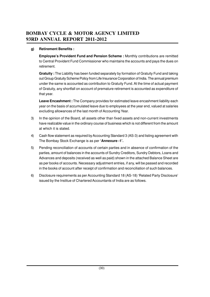### **g) Retirement Benefits :**

**Employee's Provident Fund and Pension Scheme :** Monthly contributions are remitted to Central Provident Fund Commissioner who maintains the accounts and pays the dues on retirement.

**Gratuity :** The Liability has been funded separately by formation of Gratuity Fund and taking out Group Gratuity Scheme Policy from Life Insurance Corporation of India. The annual premium under the same is accounted as contribution to Gratuity Fund. At the time of actual payment of Gratuity, any shortfall on account of premature retirement is accounted as expenditure of that year.

**Leave Encashment :** The Company provides for estimated leave encashment liability each year on the basis of accumulated leave due to employees at the year end, valued at salaries excluding allowances of the last month of Accounting Year.

- 3) In the opinion of the Board, all assets other than fixed assets and non-current investments have realizable value in the ordinary course of business which is not different from the amount at which it is stated.
- 4) Cash flow statement as required by Accounting Standard 3 (AS-3) and listing agreement with The Bombay Stock Exchange is as per **'Annexure -1'.**
- 5) Pending reconciliation of accounts of certain parties and in absence of confirmation of the parties, amount of balances in the accounts of Sundry Creditors, Sundry Debtors, Loans and Advances and deposits (received as well as paid) shown in the attached Balance Sheet are as per books of accounts. Necessary adjustment entries, if any, will be passed and recorded in the books of account after receipt of confirmation and reconciliation of such balances.
- 6) Disclosure requirements as per Accounting Standard 18 (AS-18) 'Related Party Disclosure' issued by the Institue of Chartered Accountants of India are as follows.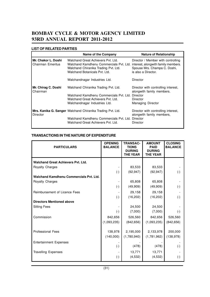### **LIST OF RELATED PARTIES**

|                                                 | <b>Name of the Company</b>                                                                                                                             | <b>Nature of Relationship</b>                                                                                                    |
|-------------------------------------------------|--------------------------------------------------------------------------------------------------------------------------------------------------------|----------------------------------------------------------------------------------------------------------------------------------|
| Mr. Chakor L. Doshi<br><b>Chairman Emeritus</b> | Walchand Great Achievers Pvt. Ltd.<br>Walchand Kamdhenu Commercials Pvt. Ltd.<br>Walchand Chiranika Trading Pvt. Ltd.<br>Walchand Botanicals Pvt. Ltd. | Director / Member with controlling<br>interest, alongwith family members.<br>Spouse Mrs. Champa C. Doshi,<br>is also a Director. |
|                                                 | Walchandnagar Industries Ltd.                                                                                                                          | Director                                                                                                                         |
| Mr. Chirag C. Doshi<br>Chairman                 | Walchand Chiranika Trading Pvt. Ltd.                                                                                                                   | Director with controlling interest,<br>alongwith family members.                                                                 |
|                                                 | Walchand Kamdhenu Commercials Pvt. Ltd.                                                                                                                | Director                                                                                                                         |
|                                                 | Walchand Great Achievers Pyt. Ltd.                                                                                                                     | Director                                                                                                                         |
|                                                 | Walchandnagar Industries Ltd.                                                                                                                          | Managing Director                                                                                                                |
| Director                                        | Mrs. Kanika G. Sanger Walchand Chiranika Trading Pvt. Ltd.                                                                                             | Director with controlling interest,<br>alongwith family members,                                                                 |
|                                                 | Walchand Kamdhenu Commercials Pvt. Ltd.<br>Walchand Great Achievers Pvt. Ltd.                                                                          | Director<br>Director                                                                                                             |

### **TRANSACTIONS IN THE NATURE OF EXPENDITURE**

| <b>PARTICULARS</b>                        | <b>OPENING</b><br><b>BALANCE</b> | <b>TRANSAC-</b><br><b>TIONS</b><br><b>DURING</b><br><b>THE YEAR</b> | <b>AMOUNT</b><br><b>PAID</b><br><b>DURING</b><br><b>THE YEAR</b> | <b>CLOSING</b><br><b>BALANCE</b> |
|-------------------------------------------|----------------------------------|---------------------------------------------------------------------|------------------------------------------------------------------|----------------------------------|
| <b>Walchand Great Achievers Pyt. Ltd.</b> |                                  |                                                                     |                                                                  |                                  |
| <b>Royalty Charges</b>                    |                                  | 83,533                                                              | 83,533                                                           |                                  |
|                                           | $(\cdot)$                        | (92, 947)                                                           | (92, 947)                                                        | $(\cdot)$                        |
| Walchand Kamdhenu Commercials Pvt. Ltd.   |                                  |                                                                     |                                                                  |                                  |
| <b>Royalty Charges</b>                    |                                  | 65,808                                                              | 65,808                                                           |                                  |
|                                           | $(\cdot)$                        | (49,909)                                                            | (49,909)                                                         | $(\cdot)$                        |
| Reimbursement of Licence Fees             |                                  | 29,158                                                              | 29,158                                                           |                                  |
|                                           | $(\cdot)$                        | (16, 202)                                                           | (16, 202)                                                        | $(-)$                            |
| <b>Directors Mentioned above</b>          |                                  |                                                                     |                                                                  |                                  |
| <b>Sitting Fees</b>                       |                                  | 24,500                                                              | 24,500                                                           |                                  |
|                                           | $(\cdot)$                        | (7,000)                                                             | (7,000)                                                          | $(-)$                            |
| Commission                                | 842,656                          | 526,560                                                             | 842,656                                                          | 526,560                          |
|                                           | (1,093,235)                      | (842, 656)                                                          | (1,093,235)                                                      | (842, 656)                       |
|                                           |                                  |                                                                     |                                                                  |                                  |
| <b>Professional Fees</b>                  | 138,978                          | 2,195,000                                                           | 2,133,978                                                        | 200,000                          |
|                                           | (140,000)                        | (1,780,940)                                                         | (1,781,962)                                                      | (138, 978)                       |
| <b>Entertainment Expenses</b>             |                                  |                                                                     |                                                                  |                                  |
|                                           | $(\cdot)$                        | (478)                                                               | (478)                                                            | $(\cdot)$                        |
| <b>Travelling Expenses</b>                |                                  | 13,771                                                              | 13,771                                                           |                                  |
|                                           | $(\cdot)$                        | (4, 532)                                                            | (4,532)                                                          | $(\text{-})$                     |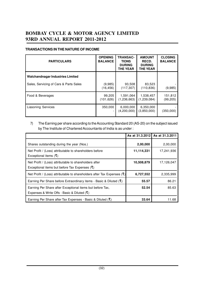### **TRANSACTIONS IN THE NATURE OF INCOME**

| <b>PARTICULARS</b>                     | <b>OPENING</b><br><b>BALANCE</b> | <b>TRANSAC-</b><br><b>TIONS</b><br><b>DURING</b><br><b>THE YEAR</b> | <b>AMOUNT</b><br>RECD.<br><b>DURING</b><br><b>THE YEAR</b> | <b>CLOSING</b><br><b>BALANCE</b> |
|----------------------------------------|----------------------------------|---------------------------------------------------------------------|------------------------------------------------------------|----------------------------------|
| Walchandnagar Industries Limited       |                                  |                                                                     |                                                            |                                  |
| Sales, Servicing of Cars & Parts Sales | (9,985)<br>(16,456)              | 93,508<br>(117, 307)                                                | 83,523<br>(110, 836)                                       | (9,985)                          |
| Food & Beverages                       | 99,205<br>(101,626)              | 1,591,064<br>(1, 236, 663)                                          | 1,538,457<br>(1,239,084)                                   | 151,812<br>(99,205)              |
| Liasoning Services                     | 350,000                          | 6,000,000<br>(4,200,000)                                            | 6,350,000<br>(3,850,000)                                   | (350,000)                        |

### 7) The Earning per share according to the Accounting Standard 20 (AS-20) on the subject issued by The Institute of Chartered Accountants of India is as under :

|                                                                                                              |            | As at 31.3.2012 As at 31.3.2011 |
|--------------------------------------------------------------------------------------------------------------|------------|---------------------------------|
| Shares outstanding during the year (Nos.)                                                                    | 2,00,000   | 2,00,000                        |
| Net Profit / (Loss) attributable to shareholders before<br>Exceptional items $(\xi)$                         | 11,114,331 | 17,241,936                      |
| Net Profit / (Loss) attributable to shareholders after<br>Exceptional items but before Tax Expenses $(\xi)$  | 10,508,879 | 17,126,047                      |
| Net Profit / (Loss) attributable to shareholders after Tax Expenses ( $\mathcal{F}$ )                        | 6,727,552  | 2,335,999                       |
| Earning Per Share before Extraordinary items - Basic & Diluted $(\xi)$                                       | 55.57      | 86.21                           |
| Earning Per Share after Exceptional items but before Tax,<br>Expenses & Write Offs - Basic & Diluted $(\xi)$ | 52.54      | 85.63                           |
| Earning Per Share after Tax Expenses - Basic & Diluted ( $\bar{\mathbf{t}}$ )                                | 33.64      | 11.68                           |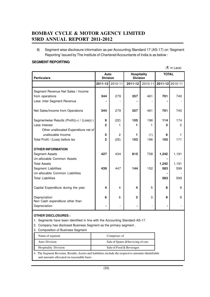8) Segment wise disclosure information as per Accounting Standard 17 (AS-17) on 'Segment Reporting' issued by The Institute of Chartered Accountants of India is as below :

#### **SEGMENT REPORTING**

(F in Lacs)

| <b>Particulars</b>                          | Auto<br><b>Division</b> |                 | <b>Hospitality</b><br><b>Division</b> |             | <b>TOTAL</b> |                 |
|---------------------------------------------|-------------------------|-----------------|---------------------------------------|-------------|--------------|-----------------|
|                                             |                         | 2011-12 2010-11 | $2011 - 12$                           | $2010 - 11$ |              | 2011-12 2010-11 |
| Segment Revenue Net Sales / Income          |                         |                 |                                       |             |              |                 |
| from operations                             | 344                     | 279             | 357                                   | 461         | 701          | 740             |
| Less: Inter Segment Revenue                 |                         |                 |                                       |             |              |                 |
| Net Sales/Income from Operations            | 344                     | 279             | 357                                   | 461         | 701          | 740             |
| Segmentwise Results (Profit)(+) / (Loss)(-) | 9                       | (22)            | 105                                   | 196         | 114          | 174             |
| Less: Interest                              | $\overline{2}$          |                 | 1                                     | 1           | 3            | $\mathcal{P}$   |
| Other unallocated Expenditure net of        |                         |                 |                                       |             |              |                 |
| unallocable Income                          | 5                       | $\overline{2}$  | 1                                     | (1)         | 6            | 1               |
| Total Profit / (Loss) before tax            | $\overline{2}$          | (25)            | 103                                   | 196         | 105          | 171             |
|                                             |                         |                 |                                       |             |              |                 |
| <b>OTHER INFORMATION</b>                    |                         |                 |                                       |             |              |                 |
| <b>Segment Assets</b>                       | 427                     | 434             | 815                                   | 758         | 1,242        | 1,191           |
| Un-allocable Common Assets                  |                         |                 |                                       |             |              |                 |
| <b>Total Assets</b>                         |                         |                 |                                       |             | 1,242        | 1,191           |
| Segment Liabilities                         | 439                     | 447             | 144                                   | 152         | 583          | 599             |
| Un-allocable Common Liabilities             |                         |                 |                                       |             |              |                 |
| <b>Total Liabilities</b>                    |                         |                 |                                       |             | 583          | 599             |
| Capital Expenditure during the year         | 4                       | 4               | 4                                     | 5           | 8            | 9               |
|                                             |                         |                 |                                       |             |              |                 |
| Depreciation                                | 6                       | 6               | 3                                     | 3           | 9            | 9               |
| Non Cash expenditure other than             |                         |                 |                                       |             |              |                 |
| Depreciation                                |                         |                 |                                       |             |              |                 |

### **OTHER DISCLOSURES :**

1. Segments have been identified in line with the Accounting Standard AS-17.

2. Company has disclosed Business Segment as the primary segment .

3. Composition of Business Segment

| Name of segment             | Comprises of                       |
|-----------------------------|------------------------------------|
| Auto Division               | Sale of Spares & Servicing of cars |
| <b>Hospitality Division</b> | Sale of Food & Beverages           |

4. The Segment Revenue, Results, Assets and liabilities include the respective amounts ldentifiable and amounts allocated on reasonable basis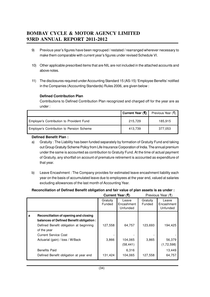- 9) Previous year's figures have been regrouped / restated / rearranged wherever necessary to make them comparable with current year's figures under revised Schedule VI.
- 10) Other applicable prescribed items that are NIL are not included in the attached accounts and above notes.
- 11) The disclosures required under Accounting Standard 15 (AS-15) 'Employee Benefits' notified in the Companies (Accounting Standards) Rules 2006, are given below :

### **Defined Contribution Plan**

Contributions to Defined Contribution Plan recognized and charged off for the year are as under :

|                                           | Current Year (そ) | Previous Year (そ) |
|-------------------------------------------|------------------|-------------------|
| Employer's Contribution to Provident Fund | 215.729          | 185,915           |
| Employer's Contribution to Pension Scheme | 413.739          | 377.053           |

### **Defined Benefit Plan :**

- a) Gratuity : The Liability has been funded separately by formation of Gratuity Fund and taking out Group Gratuity Scheme Policy from Life Insurance Corporation of India. The annual premium under the same is accounted as contribution to Gratuity Fund. At the time of actual payment of Gratuity, any shortfall on account of premature retirement is accounted as expenditure of that year.
- b) Leave Encashment : The Company provides for estimated leave encashment liability each year on the basis of accumulated leave due to employees at the year end, valued at salaries excluding allowances of the last month of Accounting Year.

### **Reconciliation of Defined Benefit obligation and fair value of plan assets is as under :**

|                                                                                                                                                                                                                                                                                      |                             | Current Year (そ)                                   |                             | Previous Year (₹)                                     |
|--------------------------------------------------------------------------------------------------------------------------------------------------------------------------------------------------------------------------------------------------------------------------------------|-----------------------------|----------------------------------------------------|-----------------------------|-------------------------------------------------------|
|                                                                                                                                                                                                                                                                                      | Gratuity<br>Funded          | Leave<br>Encashment<br>Unfunded                    | Gratuity<br>Funded          | Leave<br>Encashment<br>Unfunded                       |
| Reconciliation of opening and closing<br>a<br>balances of Defined Benefit obligation:<br>Defined Benefit obligation at beginning<br>of the year<br><b>Current Service Cost</b><br>Actuarial (gain) / loss / W/Back<br><b>Benefits Paid</b><br>Defined Benefit obligation at year end | 127,558<br>3,866<br>131,424 | 64,757<br>104,065<br>(58, 441)<br>6,316<br>104,065 | 123,693<br>3,865<br>127,558 | 194,425<br>56,379<br>(1, 72, 598)<br>13,449<br>64,757 |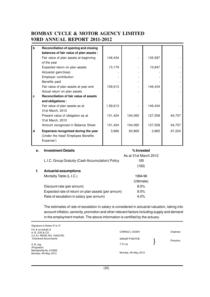| b | Reconciliation of opening and closing   |          |         |         |        |
|---|-----------------------------------------|----------|---------|---------|--------|
|   | balances of fair value of plan assets : |          |         |         |        |
|   | Fair value of plan assets at beginning  | 146,434  |         | 135,587 |        |
|   | of the year                             |          |         |         |        |
|   | Expected return on plan assets          | 13,179   |         | 10,847  |        |
|   | Actuarial gain/(loss)                   |          |         |         |        |
|   | Employer contribution                   |          |         |         |        |
|   | Benefits paid                           |          |         |         |        |
|   | Fair value of plan assets at year end   | 159,613  |         | 146,434 |        |
|   | Actual return on plan assets            |          |         |         |        |
| C | Reconciliation of fair value of assets  |          |         |         |        |
|   | and obligations:                        |          |         |         |        |
|   | Fair value of plan assets as at         | 1,59,613 |         | 146,434 |        |
|   | 31st March, 2012                        |          |         |         |        |
|   | Present value of obligation as at       | 131,424  | 104,065 | 127,558 | 64,757 |
|   | 31st March, 2012                        |          |         |         |        |
|   | Amount recognized in Balance Sheet      | 131,424  | 104,065 | 127,558 | 64,757 |
| d | Expenses recognized during the year     | 3,866    | 63,969  | 3,865   | 67,224 |
|   | (Under the head 'Employee Benefits      |          |         |         |        |
|   | Expense')                               |          |         |         |        |
|   |                                         |          |         |         |        |

| е. | <b>Investment Details</b>                          | % Invested            |
|----|----------------------------------------------------|-----------------------|
|    |                                                    | As at 31st March 2012 |
|    | L.I.C. Group Gratuity (Cash Accumulation) Policy   | 100                   |
|    |                                                    | (100)                 |
| f. | <b>Actuarial assumptions</b>                       |                       |
|    | Mortality Table (L.I.C.)                           | 1994-96               |
|    |                                                    | (Ultimate)            |
|    | Discount rate (per annum)                          | 8.0%                  |
|    | Expected rate of return on plan assets (per annum) | $9.0\%$               |
|    | Rate of escalation in salary (per annum)           | 4.0%                  |

The estimates of rate of escalation in salary is considered in actuarial valuation, taking into account inflation, seniority, promotion and other relevant factors including supply and demand in the employment market. The above information is certified by the actuary.

Signature to Notes 'A' to 'X' For & on behalf of A. B. JOG & CO. (I.C.A.I. REGN. NO. 104321W) Chartered Accountants A. B. Jog (Proprietor) Membership No. 010655 Mumbai, 4th May, 2012 CHIRAG C. DOSHI Chairman SANJAY P. MUTHE Directors T. D. Lal Mumbai, 4th May, 2012 }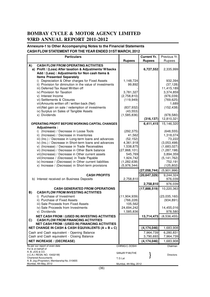### **Annexure-1 to Other Accompanying Notes to the Financial Statements CASH FLOW STATEMENT FOR THE YEAR ENDED 31ST MARCH, 2012**

|    | <b>Particulars</b>                                                                                                                                                                                                                                                                                                                                                                                                                                                                                                                                                                                                                                                                                                                                            |                                                                                                                                                    | <b>Current Yr.</b>                                                         | Previous Yr.                                                                                                                                                                                                        |
|----|---------------------------------------------------------------------------------------------------------------------------------------------------------------------------------------------------------------------------------------------------------------------------------------------------------------------------------------------------------------------------------------------------------------------------------------------------------------------------------------------------------------------------------------------------------------------------------------------------------------------------------------------------------------------------------------------------------------------------------------------------------------|----------------------------------------------------------------------------------------------------------------------------------------------------|----------------------------------------------------------------------------|---------------------------------------------------------------------------------------------------------------------------------------------------------------------------------------------------------------------|
|    |                                                                                                                                                                                                                                                                                                                                                                                                                                                                                                                                                                                                                                                                                                                                                               | <b>Rupees</b>                                                                                                                                      | <b>Rupees</b>                                                              | Rupees                                                                                                                                                                                                              |
| A) | <b>CASH FLOW FROM OPERATING ACTIVITIES</b><br>a) Profit / (Loss) After taxation & Adjustments/W/backs<br>Add / (Less) : Adjustments for Non cash Items &                                                                                                                                                                                                                                                                                                                                                                                                                                                                                                                                                                                                      |                                                                                                                                                    | 6,727,552                                                                  | 2,335,999                                                                                                                                                                                                           |
|    | <b>Items Presented Separately</b><br>i) Depreciation & Other charges for Fixed Assets<br>ii) Provision for diminution in the value of investments<br>iii) Deferred Tax Asset Written off<br>iv) Provision for Taxation                                                                                                                                                                                                                                                                                                                                                                                                                                                                                                                                        | 1,148,724<br>99,892<br>3,781,327                                                                                                                   |                                                                            | 932,394<br>(37, 128)<br>11,415,189<br>3,374,859                                                                                                                                                                     |
|    | v) Interest Income<br>vi) Settlements & Closures<br>vii) Amounts written off / written back (Net)<br>viii)Net gain on sale / redemption of investments<br>ix) Surplus on Sales of Tangible Assets                                                                                                                                                                                                                                                                                                                                                                                                                                                                                                                                                             | (2,758,810)<br>(119, 949)<br>(837, 932)<br>(43, 553)                                                                                               |                                                                            | (976, 039)<br>(769, 625)<br>1,689<br>(152, 438)                                                                                                                                                                     |
|    | x) Dividends                                                                                                                                                                                                                                                                                                                                                                                                                                                                                                                                                                                                                                                                                                                                                  | (1,585,836)                                                                                                                                        | (316, 137)                                                                 | (978, 580)<br>12,810,321                                                                                                                                                                                            |
| B) | OPERATING PROFIT BEFORE WORKING CAPITAL CHANGES<br>Adjustments:<br>i) (Increase) / Decrease in Loose Tools<br>ii) (Increase) / Decrease in Inventories<br>iii) (Inc.) / Decrease in Long-term loans and advances<br>iv) (Inc.) / Decrease in Short-term loans and advances<br>v) (Increase) / Decrease in Trade Receivables<br>vi) (Increase) / Decrease in Other Bank balance<br>vii)(Increase) / Decrease in Other current assets<br>viii) Increase / (Decrease) in Trade Payable<br>ix) Increase / (Decrease) in Other current liabilities<br>x) Increase / (Decrease) in Short-term provisions<br><b>CASH PROFITS</b><br>b) Interest received on Business Deposits<br><b>CASH GENERATED FROM OPERATIONS</b><br><b>CASH FLOW FROM INVESTING ACTIVITIES</b> | (292, 375)<br>41,562<br>(52, 152)<br>4,361,918<br>1,538,875<br>(27, 868, 101)<br>545,769<br>1,924,742<br>(1, 282, 638)<br>(5,976,344)<br>2,758,810 | 6,411,415<br>(27, 058, 744)<br>(20, 647, 329)<br>2,758,810<br>(17,888,519) | 15,146,320<br>(648, 555)<br>1,318,074<br>73,222<br>(3,053,498)<br>(1,683,027)<br>(1,287,198)<br>3,894,359<br>(5, 141, 762)<br>752,191<br>(125, 802)<br>(5,901,996)<br>9,244,324<br>976,039<br>976,039<br>10,220,363 |
| C) | i) Purchase of Investment<br>ii) Purchase of Fixed Assets<br>iii) Sale Proceeds from Fixed Assets<br>iv) Sale Proceeds from Investments<br>v) Dividends<br><b>NET CASH FROM / (USED IN) INVESTING ACTIVITIES</b><br><b>CASH FLOW FROM FINANCING ACTIVITIES</b><br><b>NET CASH FROM / (USED IN) FINANCING ACTIVITIES</b>                                                                                                                                                                                                                                                                                                                                                                                                                                       | (11, 904, 939)<br>(766, 228)<br>105,562<br>24,694,242<br>1,585,836                                                                                 | 13,714,473                                                                 | (23,035,160)<br>(934, 891)<br>14,455,016<br>978,580<br>(8,536,455)                                                                                                                                                  |
|    | NET CHANGE IN CASH & CASH EQUIVALENTS $(A + B + C)$                                                                                                                                                                                                                                                                                                                                                                                                                                                                                                                                                                                                                                                                                                           |                                                                                                                                                    | (4, 174, 046)                                                              | 1,683,908                                                                                                                                                                                                           |
|    | Cash and Cash equivalent - Opening Balance<br>Cash and Cash equivalent - Closing Balance                                                                                                                                                                                                                                                                                                                                                                                                                                                                                                                                                                                                                                                                      |                                                                                                                                                    | 7,964,739<br>3,790,693                                                     | 6,280,831<br>7,964,739                                                                                                                                                                                              |
|    | <b>NET INCREASE / (DECREASE)</b>                                                                                                                                                                                                                                                                                                                                                                                                                                                                                                                                                                                                                                                                                                                              |                                                                                                                                                    | (4,174,046)                                                                | 1,683,908                                                                                                                                                                                                           |
|    | As per our report of even date                                                                                                                                                                                                                                                                                                                                                                                                                                                                                                                                                                                                                                                                                                                                | CHIRAG C. DOSHI                                                                                                                                    |                                                                            | Chairman                                                                                                                                                                                                            |
|    | For & on behalf of<br>A. B. JOG & CO.<br>(I.C.A.I. REGN. NO. 104321W)<br><b>Chartered Accountants</b><br>A. B. Jog (Proprietor), Membership No. 010655                                                                                                                                                                                                                                                                                                                                                                                                                                                                                                                                                                                                        | SANJAY P. MUTHE<br>T.D.Lal                                                                                                                         |                                                                            | Directors                                                                                                                                                                                                           |
|    | Mumbai, 4th May, 2012                                                                                                                                                                                                                                                                                                                                                                                                                                                                                                                                                                                                                                                                                                                                         | Mumbai, 4th May, 2012                                                                                                                              |                                                                            |                                                                                                                                                                                                                     |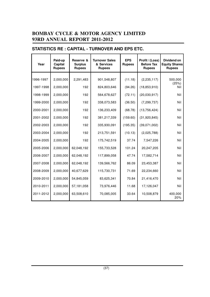## **Paid-up Reserve & Turnover Sales EPS Profit / (Loss) Dividend on Year Capital Surplus & Services Rupees Before Tax Equity Shares** Rupees | Rupees | Rupees | Rupees | Rupees 1996-1997 2,000,000 2,291,483 901,548,807 (11.18) (2,235,117) 500,000 (25%) 1997-1998 2,000,000 192 824,803,646 (94.26) (18,853,910) Nil 1998-1999 2,000,000 192 564,678,627 (72.11) (20,030,917) Nil 1999-2000 2,000,000 192 338,073,583 (36.50) (7,299,737) Nil 2000-2001 2,000,000 192 136,233,409 (68.78) (13,756,424) Nil 2001-2002 2,000,000 192 381,217,339 (159.60) (31,920,845) Nil 2002-2003 2,000,000 192 335,930,091 (195.35) (39,071,002) Nil 2003-2004 2,000,000 192 213,751,591 (10.13) (2,025,788) Nil 2004-2005 2,000,000 192 175,742,519 37.74 7,547,226 Nil 2005-2006 2,000,000 62,048,192 155,733,528 101.24 20,247,205 Nil 2006-2007 2,000,000 62,048,192 117,899,058 47.74 17,582,714 2007-2008 2,000,000 62,048,192 139,566,762 86.09 23,453,387 Nil 2008-2009 2,000,000 40,677,629 115,730,731 71.69 22,234,660 Nil 2009-2010 2,000,000 54,845,059 83,625,341 70.84 21,416,470 Nil

### **STATISTICS RE : CAPITAL - TURNOVER AND EPS ETC.**

2010-2011 2,000,000 57,181,058 73,976,446 11.68 17,126,047 Nil

2011-2012 2,000,000 63,508,610 70,085,005 33.64 10,508,879 400,000

20%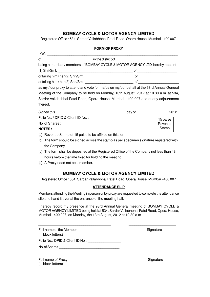### **BOMBAY CYCLE & MOTOR AGENCY LIMITED**

Registered Office : 534, Sardar Vallabhbhai Patel Road, Opera House, Mumbai - 400 007.

### **FORM OF PROXY**

| being a member / members of BOMBAY CYCLE & MOTOR AGENCY LTD. hereby appoint                |  |          |  |  |  |
|--------------------------------------------------------------------------------------------|--|----------|--|--|--|
|                                                                                            |  |          |  |  |  |
| or failing him / her (2) Shri/Smt.                                                         |  |          |  |  |  |
|                                                                                            |  |          |  |  |  |
| as my / our proxy to attend and vote for me/us on my/our behalf at the 93rd Annual General |  |          |  |  |  |
| Meeting of the Company to be held on Monday, 13th August, 2012 at 10.30 a.m. at 534,       |  |          |  |  |  |
| Sardar Vallabhbhai Patel Road, Opera House, Mumbai - 400 007 and at any adjournment        |  |          |  |  |  |
| thereof.                                                                                   |  |          |  |  |  |
|                                                                                            |  |          |  |  |  |
| Folio No. / DPID & Client ID No.:                                                          |  | 15 paise |  |  |  |
| No. of Shares:                                                                             |  | Revenue  |  |  |  |
| <b>NOTES:</b>                                                                              |  | Stamp    |  |  |  |
| (a) Revenue Stamp of 15 paise to be affixed on this form.                                  |  |          |  |  |  |
| (b) The form should be signed across the stamp as per specimen signature registered with   |  |          |  |  |  |
| the Company.                                                                               |  |          |  |  |  |
|                                                                                            |  |          |  |  |  |

- (c) The form shall be deposited at the Registered Office of the Company not less than 48 hours before the time fixed for holding the meeting.
- (d) A Proxy need not be a member.

### **BOMBAY CYCLE & MOTOR AGENCY LIMITED**

 $\frac{1}{2}$  and  $\frac{1}{2}$  and  $\frac{1}{2}$  and  $\frac{1}{2}$ 

Registered Office : 534, Sardar Vallabhbhai Patel Road, Opera House, Mumbai - 400 007.

#### **ATTENDANCE SLIP**

Members attending the Meeting in person or by proxy are requested to complete the attendance slip and hand it over at the entrance of the meeting hall.

I hereby record my presence at the 93rd Annual General meeting of BOMBAY CYCLE & MOTOR AGENCY LIMITED being held at 534, Sardar Vallabhbhai Patel Road, Opera House, Mumbai - 400 007, on Monday, the 13th August, 2012 at 10.30 a.m.

\_\_\_\_\_\_\_\_\_\_\_\_\_\_\_\_\_\_\_\_\_\_\_\_\_\_\_\_\_\_\_\_\_\_\_\_\_ \_\_\_\_\_\_\_\_\_\_\_\_\_\_\_\_\_\_\_\_\_\_\_\_

 $\frac{1}{2}$  ,  $\frac{1}{2}$  ,  $\frac{1}{2}$  ,  $\frac{1}{2}$  ,  $\frac{1}{2}$  ,  $\frac{1}{2}$  ,  $\frac{1}{2}$  ,  $\frac{1}{2}$  ,  $\frac{1}{2}$  ,  $\frac{1}{2}$  ,  $\frac{1}{2}$  ,  $\frac{1}{2}$  ,  $\frac{1}{2}$  ,  $\frac{1}{2}$  ,  $\frac{1}{2}$  ,  $\frac{1}{2}$  ,  $\frac{1}{2}$  ,  $\frac{1}{2}$  ,  $\frac{1$ 

| Full name of the Member<br>(in block letters) |
|-----------------------------------------------|
| Folio No. / DPID & Client ID No. :            |
| No. of Shares                                 |

Full name of Proxy Signature (in block letters)

Signature